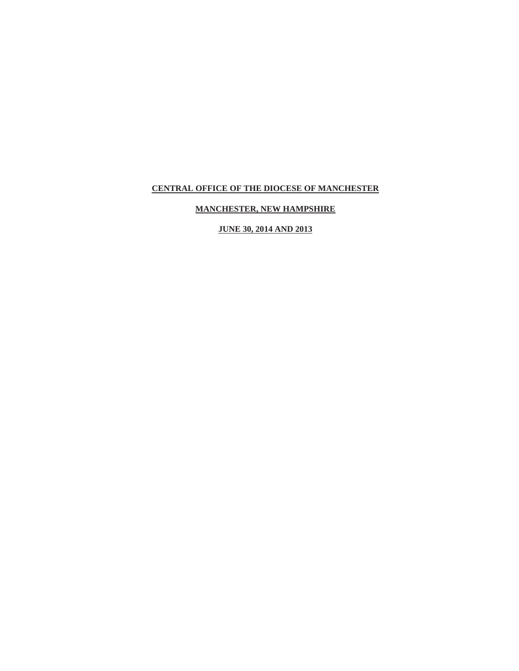# **MANCHESTER, NEW HAMPSHIRE**

**JUNE 30, 2014 AND 2013**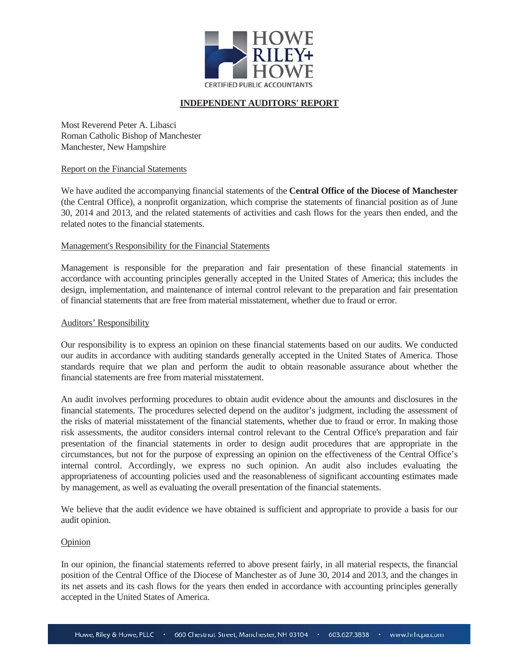

### **INDEPENDENT AUDITORS' REPORT**

Most Reverend Peter A. Libasci Roman Catholic Bishop of Manchester Manchester, New Hampshire

#### Report on the Financial Statements

We have audited the accompanying financial statements of the **Central Office of the Diocese of Manchester** (the Central Office), a nonprofit organization, which comprise the statements of financial position as of June 30, 2014 and 2013, and the related statements of activities and cash flows for the years then ended, and the related notes to the financial statements.

#### Management's Responsibility for the Financial Statements

Management is responsible for the preparation and fair presentation of these financial statements in accordance with accounting principles generally accepted in the United States of America; this includes the design, implementation, and maintenance of internal control relevant to the preparation and fair presentation of financial statements that are free from material misstatement, whether due to fraud or error.

#### Auditors' Responsibility

Our responsibility is to express an opinion on these financial statements based on our audits. We conducted our audits in accordance with auditing standards generally accepted in the United States of America. Those standards require that we plan and perform the audit to obtain reasonable assurance about whether the financial statements are free from material misstatement.

An audit involves performing procedures to obtain audit evidence about the amounts and disclosures in the financial statements. The procedures selected depend on the auditor's judgment, including the assessment of the risks of material misstatement of the financial statements, whether due to fraud or error. In making those risk assessments, the auditor considers internal control relevant to the Central Office's preparation and fair presentation of the financial statements in order to design audit procedures that are appropriate in the circumstances, but not for the purpose of expressing an opinion on the effectiveness of the Central Office's internal control. Accordingly, we express no such opinion. An audit also includes evaluating the appropriateness of accounting policies used and the reasonableness of significant accounting estimates made by management, as well as evaluating the overall presentation of the financial statements.

We believe that the audit evidence we have obtained is sufficient and appropriate to provide a basis for our audit opinion.

#### Opinion

In our opinion, the financial statements referred to above present fairly, in all material respects, the financial position of the Central Office of the Diocese of Manchester as of June 30, 2014 and 2013, and the changes in its net assets and its cash flows for the years then ended in accordance with accounting principles generally accepted in the United States of America.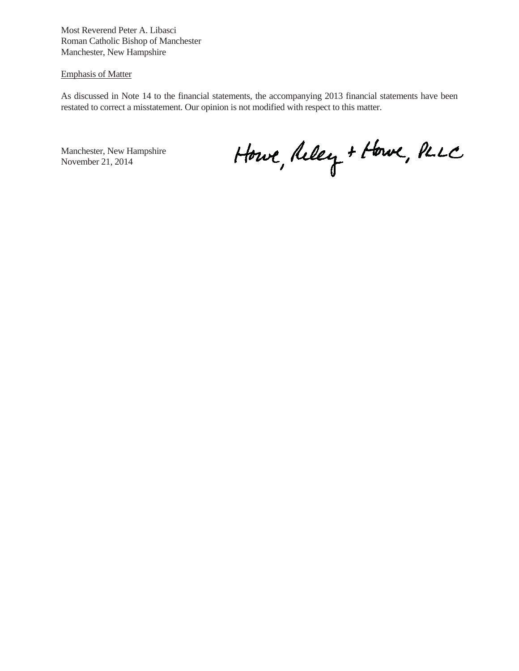Most Reverend Peter A. Libasci Roman Catholic Bishop of Manchester Manchester, New Hampshire

#### Emphasis of Matter

As discussed in Note 14 to the financial statements, the accompanying 2013 financial statements have been restated to correct a misstatement. Our opinion is not modified with respect to this matter.

Manchester, New Hampshire November 21, 2014

Howe, Reley + Howe, PLLC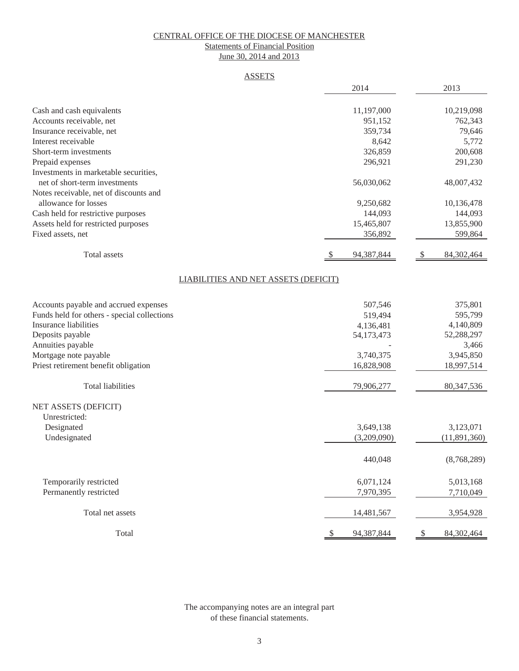#### Statements of Financial Position June 30, 2014 and 2013

#### ASSETS

|                                             | 2014                                 | 2013                               |
|---------------------------------------------|--------------------------------------|------------------------------------|
|                                             |                                      |                                    |
| Cash and cash equivalents                   | 11,197,000                           | 10,219,098                         |
| Accounts receivable, net                    | 951,152                              | 762,343                            |
| Insurance receivable, net                   | 359,734                              | 79,646                             |
| Interest receivable                         | 8,642                                | 5,772                              |
| Short-term investments                      | 326,859                              | 200,608                            |
| Prepaid expenses                            | 296,921                              | 291,230                            |
| Investments in marketable securities,       |                                      |                                    |
| net of short-term investments               | 56,030,062                           | 48,007,432                         |
| Notes receivable, net of discounts and      |                                      |                                    |
| allowance for losses                        | 9,250,682                            | 10,136,478                         |
| Cash held for restrictive purposes          | 144,093                              | 144,093                            |
| Assets held for restricted purposes         | 15,465,807                           | 13,855,900                         |
| Fixed assets, net                           | 356,892                              | 599,864                            |
| Total assets                                | 94,387,844                           | 84,302,464                         |
|                                             |                                      |                                    |
|                                             | LIABILITIES AND NET ASSETS (DEFICIT) |                                    |
| Accounts payable and accrued expenses       | 507,546                              | 375,801                            |
| Funds held for others - special collections | 519,494                              | 595,799                            |
| <b>Insurance liabilities</b>                | 4,136,481                            | 4,140,809                          |
| Deposits payable                            | 54,173,473                           | 52,288,297                         |
| Annuities payable                           |                                      | 3,466                              |
| Mortgage note payable                       | 3,740,375                            | 3,945,850                          |
| Priest retirement benefit obligation        | 16,828,908                           | 18,997,514                         |
| <b>Total liabilities</b>                    | 79,906,277                           | 80, 347, 536                       |
| NET ASSETS (DEFICIT)                        |                                      |                                    |
| Unrestricted:                               |                                      |                                    |
| Designated                                  | 3,649,138                            | 3,123,071                          |
| Undesignated                                | (3,209,090)                          | (11,891,360)                       |
|                                             | 440,048                              | (8,768,289)                        |
| Temporarily restricted                      | 6,071,124                            | 5,013,168                          |
| Permanently restricted                      | 7,970,395                            | 7,710,049                          |
| Total net assets                            | 14,481,567                           | 3,954,928                          |
| Total                                       | 94,387,844<br>\$                     | $\sqrt{\frac{2}{2}}$<br>84,302,464 |

The accompanying notes are an integral part of these financial statements.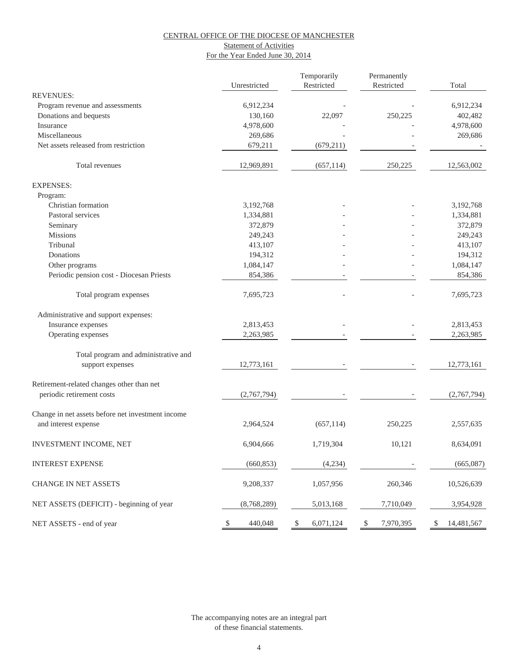#### **Statement of Activities** For the Year Ended June 30, 2014

|                                                                           | Unrestricted  | Temporarily<br>Restricted | Permanently<br>Restricted | Total            |
|---------------------------------------------------------------------------|---------------|---------------------------|---------------------------|------------------|
| <b>REVENUES:</b>                                                          |               |                           |                           |                  |
| Program revenue and assessments                                           | 6,912,234     |                           |                           | 6,912,234        |
| Donations and bequests                                                    | 130,160       | 22,097                    | 250,225                   | 402,482          |
| Insurance                                                                 | 4,978,600     |                           |                           | 4,978,600        |
| Miscellaneous                                                             | 269,686       |                           |                           | 269,686          |
| Net assets released from restriction                                      | 679,211       | (679, 211)                |                           |                  |
| Total revenues                                                            | 12,969,891    | (657, 114)                | 250,225                   | 12,563,002       |
| <b>EXPENSES:</b>                                                          |               |                           |                           |                  |
| Program:                                                                  |               |                           |                           |                  |
| Christian formation                                                       | 3,192,768     |                           |                           | 3,192,768        |
| Pastoral services                                                         | 1,334,881     |                           |                           | 1,334,881        |
| Seminary                                                                  | 372,879       |                           |                           | 372,879          |
| <b>Missions</b>                                                           | 249,243       |                           |                           | 249,243          |
| Tribunal                                                                  | 413,107       |                           |                           | 413,107          |
| Donations                                                                 | 194,312       |                           |                           | 194,312          |
| Other programs                                                            | 1,084,147     |                           |                           | 1,084,147        |
| Periodic pension cost - Diocesan Priests                                  | 854,386       |                           |                           | 854,386          |
| Total program expenses                                                    | 7,695,723     |                           |                           | 7,695,723        |
| Administrative and support expenses:                                      |               |                           |                           |                  |
| Insurance expenses                                                        | 2,813,453     |                           |                           | 2,813,453        |
| Operating expenses                                                        | 2,263,985     |                           |                           | 2,263,985        |
| Total program and administrative and                                      |               |                           |                           |                  |
| support expenses                                                          | 12,773,161    |                           |                           | 12,773,161       |
| Retirement-related changes other than net                                 |               |                           |                           |                  |
| periodic retirement costs                                                 | (2,767,794)   |                           |                           | (2,767,794)      |
| Change in net assets before net investment income<br>and interest expense | 2,964,524     | (657, 114)                | 250,225                   | 2,557,635        |
|                                                                           |               |                           |                           |                  |
| INVESTMENT INCOME, NET                                                    | 6,904,666     | 1,719,304                 | 10,121                    | 8,634,091        |
| <b>INTEREST EXPENSE</b>                                                   | (660, 853)    | (4,234)                   |                           | (665,087)        |
| CHANGE IN NET ASSETS                                                      | 9,208,337     | 1,057,956                 | 260,346                   | 10,526,639       |
| NET ASSETS (DEFICIT) - beginning of year                                  | (8,768,289)   | 5,013,168                 | 7,710,049                 | 3,954,928        |
| NET ASSETS - end of year                                                  | \$<br>440,048 | \$<br>6,071,124           | \$<br>7,970,395           | \$<br>14,481,567 |

of these financial statements. The accompanying notes are an integral part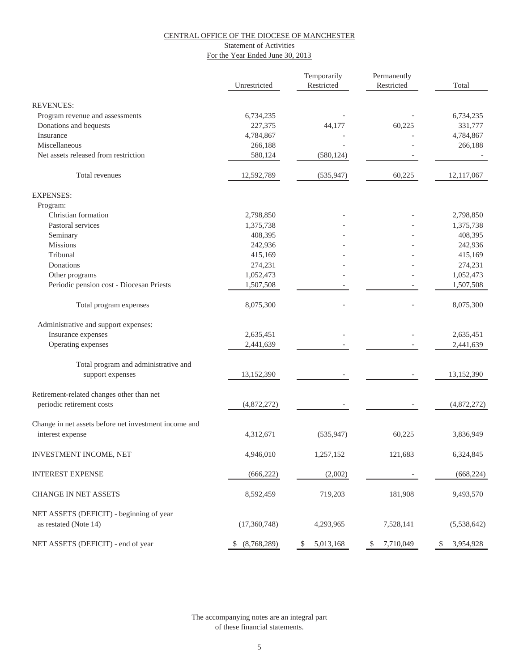#### Statement of Activities

#### For the Year Ended June 30, 2013

|                                                       |                | Temporarily     | Permanently     |                 |
|-------------------------------------------------------|----------------|-----------------|-----------------|-----------------|
|                                                       | Unrestricted   | Restricted      | Restricted      | Total           |
| <b>REVENUES:</b>                                      |                |                 |                 |                 |
| Program revenue and assessments                       | 6,734,235      |                 |                 | 6,734,235       |
| Donations and bequests                                | 227,375        | 44,177          | 60,225          | 331,777         |
| Insurance                                             | 4,784,867      |                 |                 | 4,784,867       |
| Miscellaneous                                         | 266,188        |                 |                 | 266,188         |
| Net assets released from restriction                  | 580,124        | (580, 124)      |                 |                 |
|                                                       |                |                 |                 |                 |
| Total revenues                                        | 12,592,789     | (535, 947)      | 60,225          | 12,117,067      |
| <b>EXPENSES:</b>                                      |                |                 |                 |                 |
| Program:                                              |                |                 |                 |                 |
| Christian formation                                   | 2,798,850      |                 |                 | 2,798,850       |
| Pastoral services                                     | 1,375,738      |                 |                 | 1,375,738       |
| Seminary                                              | 408,395        |                 |                 | 408,395         |
| <b>Missions</b>                                       | 242,936        |                 |                 | 242,936         |
| Tribunal                                              | 415,169        |                 |                 | 415,169         |
| Donations                                             | 274,231        |                 |                 | 274,231         |
| Other programs                                        | 1,052,473      |                 |                 | 1,052,473       |
| Periodic pension cost - Diocesan Priests              | 1,507,508      |                 |                 | 1,507,508       |
|                                                       |                |                 |                 |                 |
| Total program expenses                                | 8,075,300      |                 |                 | 8,075,300       |
| Administrative and support expenses:                  |                |                 |                 |                 |
| Insurance expenses                                    | 2,635,451      |                 |                 | 2,635,451       |
| Operating expenses                                    | 2,441,639      |                 |                 | 2,441,639       |
| Total program and administrative and                  |                |                 |                 |                 |
| support expenses                                      | 13,152,390     |                 |                 | 13,152,390      |
|                                                       |                |                 |                 |                 |
| Retirement-related changes other than net             |                |                 |                 |                 |
| periodic retirement costs                             | (4,872,272)    |                 |                 | (4,872,272)     |
| Change in net assets before net investment income and |                |                 |                 |                 |
| interest expense                                      | 4,312,671      | (535, 947)      | 60,225          | 3,836,949       |
|                                                       |                |                 |                 |                 |
| INVESTMENT INCOME, NET                                | 4,946,010      | 1,257,152       | 121,683         | 6,324,845       |
| <b>INTEREST EXPENSE</b>                               | (666, 222)     | (2,002)         |                 | (668, 224)      |
| CHANGE IN NET ASSETS                                  | 8,592,459      | 719,203         | 181,908         | 9,493,570       |
| NET ASSETS (DEFICIT) - beginning of year              |                |                 |                 |                 |
| as restated (Note 14)                                 | (17,360,748)   | 4,293,965       | 7,528,141       | (5,538,642)     |
|                                                       |                |                 |                 |                 |
| NET ASSETS (DEFICIT) - end of year                    | \$ (8,768,289) | \$<br>5,013,168 | 7,710,049<br>\$ | \$<br>3,954,928 |

of these financial statements. The accompanying notes are an integral part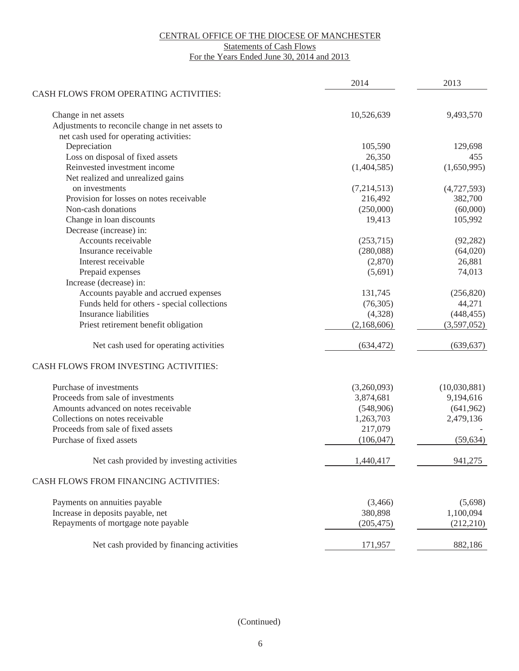#### Statements of Cash Flows

For the Years Ended June 30, 2014 and 2013

|                                                  | 2014        | 2013         |
|--------------------------------------------------|-------------|--------------|
| CASH FLOWS FROM OPERATING ACTIVITIES:            |             |              |
| Change in net assets                             | 10,526,639  | 9,493,570    |
| Adjustments to reconcile change in net assets to |             |              |
| net cash used for operating activities:          |             |              |
| Depreciation                                     | 105,590     | 129,698      |
| Loss on disposal of fixed assets                 | 26,350      | 455          |
| Reinvested investment income                     | (1,404,585) | (1,650,995)  |
| Net realized and unrealized gains                |             |              |
| on investments                                   | (7,214,513) | (4,727,593)  |
| Provision for losses on notes receivable         | 216,492     | 382,700      |
| Non-cash donations                               | (250,000)   | (60,000)     |
| Change in loan discounts                         | 19,413      | 105,992      |
| Decrease (increase) in:                          |             |              |
| Accounts receivable                              | (253,715)   | (92, 282)    |
| Insurance receivable                             | (280,088)   | (64,020)     |
| Interest receivable                              | (2,870)     | 26,881       |
| Prepaid expenses                                 | (5,691)     | 74,013       |
| Increase (decrease) in:                          |             |              |
| Accounts payable and accrued expenses            | 131,745     | (256, 820)   |
| Funds held for others - special collections      | (76, 305)   | 44,271       |
| <b>Insurance liabilities</b>                     | (4,328)     | (448, 455)   |
| Priest retirement benefit obligation             | (2,168,606) | (3,597,052)  |
| Net cash used for operating activities           | (634, 472)  | (639, 637)   |
| CASH FLOWS FROM INVESTING ACTIVITIES:            |             |              |
| Purchase of investments                          | (3,260,093) | (10,030,881) |
| Proceeds from sale of investments                | 3,874,681   | 9,194,616    |
| Amounts advanced on notes receivable             | (548,906)   | (641,962)    |
| Collections on notes receivable                  | 1,263,703   | 2,479,136    |
| Proceeds from sale of fixed assets               | 217,079     |              |
| Purchase of fixed assets                         | (106, 047)  | (59, 634)    |
| Net cash provided by investing activities        | 1,440,417   | 941,275      |
| CASH FLOWS FROM FINANCING ACTIVITIES:            |             |              |
| Payments on annuities payable                    | (3,466)     | (5,698)      |
| Increase in deposits payable, net                | 380,898     | 1,100,094    |
| Repayments of mortgage note payable              | (205, 475)  | (212,210)    |
| Net cash provided by financing activities        | 171,957     | 882,186      |

(Continued)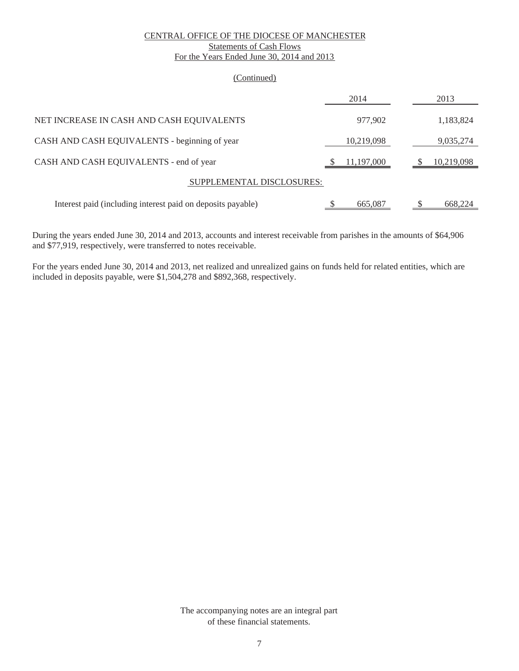#### CENTRAL OFFICE OF THE DIOCESE OF MANCHESTER Statements of Cash Flows For the Years Ended June 30, 2014 and 2013

#### (Continued)

|                                                             | 2014       | 2013       |
|-------------------------------------------------------------|------------|------------|
| NET INCREASE IN CASH AND CASH EQUIVALENTS                   | 977,902    | 1,183,824  |
| CASH AND CASH EQUIVALENTS - beginning of year               | 10,219,098 | 9,035,274  |
| CASH AND CASH EQUIVALENTS - end of year                     | 11,197,000 | 10,219,098 |
| SUPPLEMENTAL DISCLOSURES:                                   |            |            |
| Interest paid (including interest paid on deposits payable) | 665,087    | 668.224    |

During the years ended June 30, 2014 and 2013, accounts and interest receivable from parishes in the amounts of \$64,906 and \$77,919, respectively, were transferred to notes receivable.

For the years ended June 30, 2014 and 2013, net realized and unrealized gains on funds held for related entities, which are included in deposits payable, were \$1,504,278 and \$892,368, respectively.

> The accompanying notes are an integral part of these financial statements.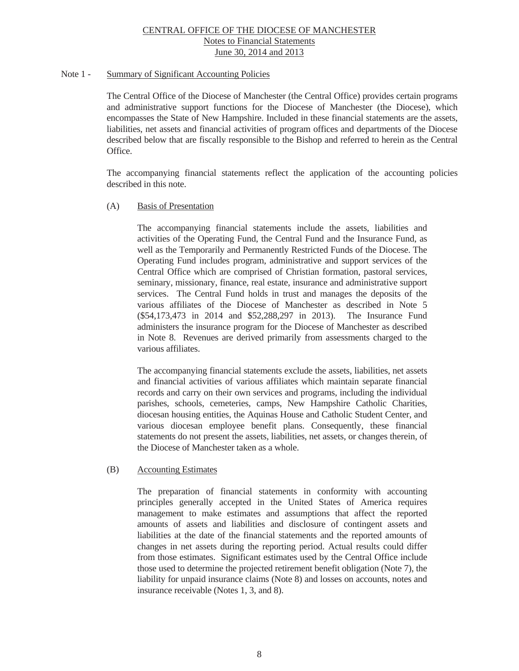### Note 1 - Summary of Significant Accounting Policies

 The Central Office of the Diocese of Manchester (the Central Office) provides certain programs and administrative support functions for the Diocese of Manchester (the Diocese), which encompasses the State of New Hampshire. Included in these financial statements are the assets, liabilities, net assets and financial activities of program offices and departments of the Diocese described below that are fiscally responsible to the Bishop and referred to herein as the Central Office.

 The accompanying financial statements reflect the application of the accounting policies described in this note.

#### (A) Basis of Presentation

 The accompanying financial statements include the assets, liabilities and activities of the Operating Fund, the Central Fund and the Insurance Fund, as well as the Temporarily and Permanently Restricted Funds of the Diocese. The Operating Fund includes program, administrative and support services of the Central Office which are comprised of Christian formation, pastoral services, seminary, missionary, finance, real estate, insurance and administrative support services. The Central Fund holds in trust and manages the deposits of the various affiliates of the Diocese of Manchester as described in Note 5 (\$54,173,473 in 2014 and \$52,288,297 in 2013). The Insurance Fund administers the insurance program for the Diocese of Manchester as described in Note 8. Revenues are derived primarily from assessments charged to the various affiliates.

 The accompanying financial statements exclude the assets, liabilities, net assets and financial activities of various affiliates which maintain separate financial records and carry on their own services and programs, including the individual parishes, schools, cemeteries, camps, New Hampshire Catholic Charities, diocesan housing entities, the Aquinas House and Catholic Student Center, and various diocesan employee benefit plans. Consequently, these financial statements do not present the assets, liabilities, net assets, or changes therein, of the Diocese of Manchester taken as a whole.

### (B) Accounting Estimates

 The preparation of financial statements in conformity with accounting principles generally accepted in the United States of America requires management to make estimates and assumptions that affect the reported amounts of assets and liabilities and disclosure of contingent assets and liabilities at the date of the financial statements and the reported amounts of changes in net assets during the reporting period. Actual results could differ from those estimates. Significant estimates used by the Central Office include those used to determine the projected retirement benefit obligation (Note 7), the liability for unpaid insurance claims (Note 8) and losses on accounts, notes and insurance receivable (Notes 1, 3, and 8).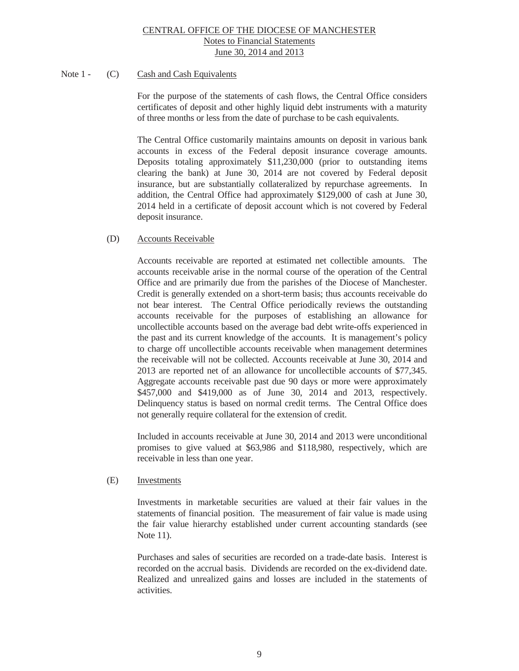### Note 1 - (C) Cash and Cash Equivalents

For the purpose of the statements of cash flows, the Central Office considers certificates of deposit and other highly liquid debt instruments with a maturity of three months or less from the date of purchase to be cash equivalents.

The Central Office customarily maintains amounts on deposit in various bank accounts in excess of the Federal deposit insurance coverage amounts. Deposits totaling approximately \$11,230,000 (prior to outstanding items clearing the bank) at June 30, 2014 are not covered by Federal deposit insurance, but are substantially collateralized by repurchase agreements. In addition, the Central Office had approximately \$129,000 of cash at June 30, 2014 held in a certificate of deposit account which is not covered by Federal deposit insurance.

### (D) Accounts Receivable

Accounts receivable are reported at estimated net collectible amounts. The accounts receivable arise in the normal course of the operation of the Central Office and are primarily due from the parishes of the Diocese of Manchester. Credit is generally extended on a short-term basis; thus accounts receivable do not bear interest. The Central Office periodically reviews the outstanding accounts receivable for the purposes of establishing an allowance for uncollectible accounts based on the average bad debt write-offs experienced in the past and its current knowledge of the accounts. It is management's policy to charge off uncollectible accounts receivable when management determines the receivable will not be collected. Accounts receivable at June 30, 2014 and 2013 are reported net of an allowance for uncollectible accounts of \$77,345. Aggregate accounts receivable past due 90 days or more were approximately \$457,000 and \$419,000 as of June 30, 2014 and 2013, respectively. Delinquency status is based on normal credit terms. The Central Office does not generally require collateral for the extension of credit.

Included in accounts receivable at June 30, 2014 and 2013 were unconditional promises to give valued at \$63,986 and \$118,980, respectively, which are receivable in less than one year.

### (E) Investments

Investments in marketable securities are valued at their fair values in the statements of financial position. The measurement of fair value is made using the fair value hierarchy established under current accounting standards (see Note 11).

Purchases and sales of securities are recorded on a trade-date basis. Interest is recorded on the accrual basis. Dividends are recorded on the ex-dividend date. Realized and unrealized gains and losses are included in the statements of activities.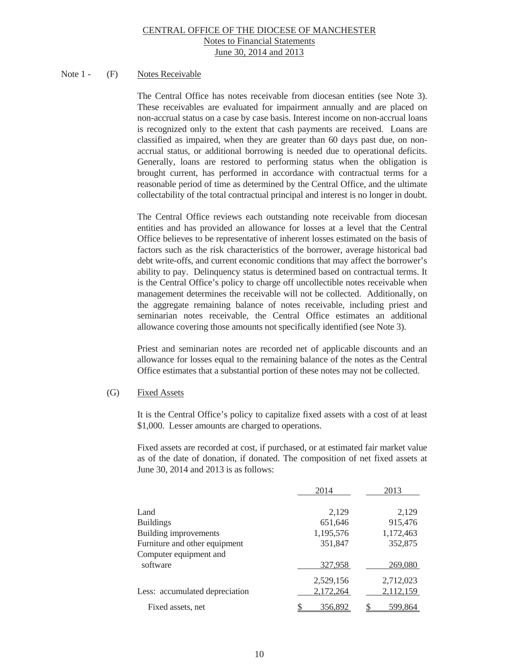### Note 1 - (F) Notes Receivable

The Central Office has notes receivable from diocesan entities (see Note 3). These receivables are evaluated for impairment annually and are placed on non-accrual status on a case by case basis. Interest income on non-accrual loans is recognized only to the extent that cash payments are received. Loans are classified as impaired, when they are greater than 60 days past due, on nonaccrual status, or additional borrowing is needed due to operational deficits. Generally, loans are restored to performing status when the obligation is brought current, has performed in accordance with contractual terms for a reasonable period of time as determined by the Central Office, and the ultimate collectability of the total contractual principal and interest is no longer in doubt.

The Central Office reviews each outstanding note receivable from diocesan entities and has provided an allowance for losses at a level that the Central Office believes to be representative of inherent losses estimated on the basis of factors such as the risk characteristics of the borrower, average historical bad debt write-offs, and current economic conditions that may affect the borrower's ability to pay. Delinquency status is determined based on contractual terms. It is the Central Office's policy to charge off uncollectible notes receivable when management determines the receivable will not be collected. Additionally, on the aggregate remaining balance of notes receivable, including priest and seminarian notes receivable, the Central Office estimates an additional allowance covering those amounts not specifically identified (see Note 3).

Priest and seminarian notes are recorded net of applicable discounts and an allowance for losses equal to the remaining balance of the notes as the Central Office estimates that a substantial portion of these notes may not be collected.

### (G) Fixed Assets

 It is the Central Office's policy to capitalize fixed assets with a cost of at least \$1,000. Lesser amounts are charged to operations.

 Fixed assets are recorded at cost, if purchased, or at estimated fair market value as of the date of donation, if donated. The composition of net fixed assets at June 30, 2014 and 2013 is as follows:

|                                | 2014      | 2013      |
|--------------------------------|-----------|-----------|
| Land                           | 2,129     | 2,129     |
| <b>Buildings</b>               | 651,646   | 915,476   |
| Building improvements          | 1,195,576 | 1,172,463 |
| Furniture and other equipment  | 351,847   | 352,875   |
| Computer equipment and         |           |           |
| software                       | 327,958   | 269,080   |
|                                | 2,529,156 | 2,712,023 |
| Less: accumulated depreciation | 2,172,264 | 2,112,159 |
| Fixed assets, net              | 356,892   | 599,864   |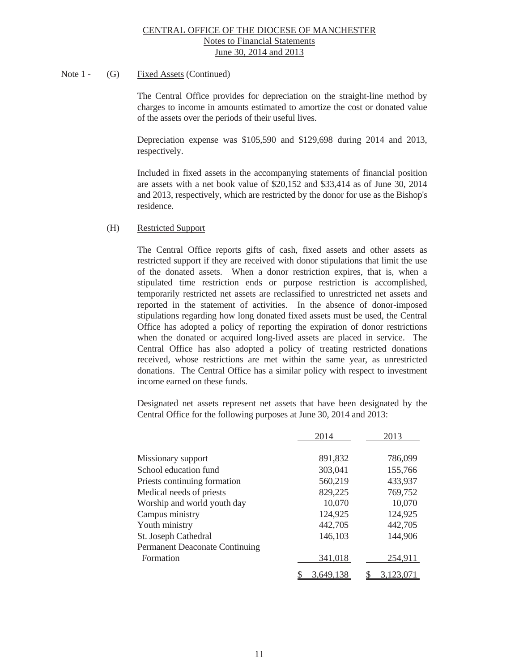### Note 1 - (G) Fixed Assets (Continued)

 The Central Office provides for depreciation on the straight-line method by charges to income in amounts estimated to amortize the cost or donated value of the assets over the periods of their useful lives.

 Depreciation expense was \$105,590 and \$129,698 during 2014 and 2013, respectively.

Included in fixed assets in the accompanying statements of financial position are assets with a net book value of \$20,152 and \$33,414 as of June 30, 2014 and 2013, respectively, which are restricted by the donor for use as the Bishop's residence.

### (H) Restricted Support

 The Central Office reports gifts of cash, fixed assets and other assets as restricted support if they are received with donor stipulations that limit the use of the donated assets. When a donor restriction expires, that is, when a stipulated time restriction ends or purpose restriction is accomplished, temporarily restricted net assets are reclassified to unrestricted net assets and reported in the statement of activities. In the absence of donor-imposed stipulations regarding how long donated fixed assets must be used, the Central Office has adopted a policy of reporting the expiration of donor restrictions when the donated or acquired long-lived assets are placed in service. The Central Office has also adopted a policy of treating restricted donations received, whose restrictions are met within the same year, as unrestricted donations. The Central Office has a similar policy with respect to investment income earned on these funds.

 Designated net assets represent net assets that have been designated by the Central Office for the following purposes at June 30, 2014 and 2013:

|                                       | 2014      | 2013      |
|---------------------------------------|-----------|-----------|
| Missionary support                    | 891,832   | 786,099   |
| School education fund                 | 303,041   | 155,766   |
| Priests continuing formation          | 560,219   | 433,937   |
| Medical needs of priests              | 829,225   | 769,752   |
| Worship and world youth day           | 10,070    | 10,070    |
| Campus ministry                       | 124,925   | 124,925   |
| Youth ministry                        | 442,705   | 442,705   |
| St. Joseph Cathedral                  | 146,103   | 144,906   |
| <b>Permanent Deaconate Continuing</b> |           |           |
| Formation                             | 341,018   | 254,911   |
|                                       | 3,649,138 | 3,123,071 |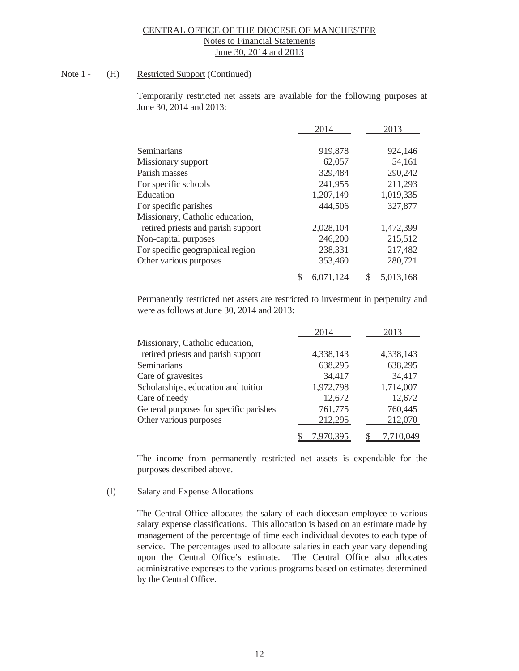# Note 1 - (H) Restricted Support (Continued)

Temporarily restricted net assets are available for the following purposes at June 30, 2014 and 2013:

|                                    | 2014      | 2013      |
|------------------------------------|-----------|-----------|
| Seminarians                        | 919,878   | 924,146   |
| Missionary support                 | 62,057    | 54,161    |
| Parish masses                      | 329,484   | 290,242   |
| For specific schools               | 241,955   | 211,293   |
| Education                          | 1,207,149 | 1,019,335 |
| For specific parishes              | 444,506   | 327,877   |
| Missionary, Catholic education,    |           |           |
| retired priests and parish support | 2,028,104 | 1,472,399 |
| Non-capital purposes               | 246,200   | 215,512   |
| For specific geographical region   | 238,331   | 217,482   |
| Other various purposes             | 353,460   | 280,721   |
|                                    | 6,071,124 | 5,013,168 |

 Permanently restricted net assets are restricted to investment in perpetuity and were as follows at June 30, 2014 and 2013:

|                                        | 2014      | 2013      |
|----------------------------------------|-----------|-----------|
| Missionary, Catholic education,        |           |           |
| retired priests and parish support     | 4,338,143 | 4,338,143 |
| Seminarians                            | 638,295   | 638,295   |
| Care of gravesites                     | 34,417    | 34,417    |
| Scholarships, education and tuition    | 1,972,798 | 1,714,007 |
| Care of needy                          | 12,672    | 12,672    |
| General purposes for specific parishes | 761,775   | 760,445   |
| Other various purposes                 | 212,295   | 212,070   |
|                                        | 970.395'  | 7,710,049 |

The income from permanently restricted net assets is expendable for the purposes described above.

#### (I) Salary and Expense Allocations

 The Central Office allocates the salary of each diocesan employee to various salary expense classifications. This allocation is based on an estimate made by management of the percentage of time each individual devotes to each type of service. The percentages used to allocate salaries in each year vary depending upon the Central Office's estimate. The Central Office also allocates administrative expenses to the various programs based on estimates determined by the Central Office.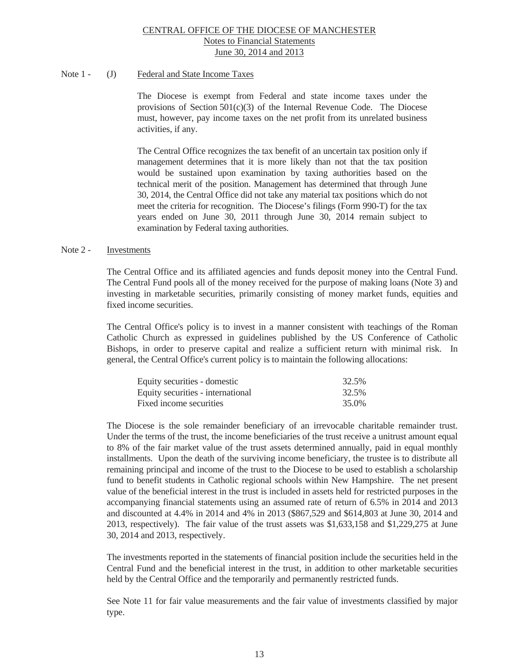# Note 1 - (J) Federal and State Income Taxes

 The Diocese is exempt from Federal and state income taxes under the provisions of Section  $501(c)(3)$  of the Internal Revenue Code. The Diocese must, however, pay income taxes on the net profit from its unrelated business activities, if any.

 The Central Office recognizes the tax benefit of an uncertain tax position only if management determines that it is more likely than not that the tax position would be sustained upon examination by taxing authorities based on the technical merit of the position. Management has determined that through June 30, 2014, the Central Office did not take any material tax positions which do not meet the criteria for recognition. The Diocese's filings (Form 990-T) for the tax years ended on June 30, 2011 through June 30, 2014 remain subject to examination by Federal taxing authorities.

#### Note 2 - Investments

 The Central Office and its affiliated agencies and funds deposit money into the Central Fund. The Central Fund pools all of the money received for the purpose of making loans (Note 3) and investing in marketable securities, primarily consisting of money market funds, equities and fixed income securities.

 The Central Office's policy is to invest in a manner consistent with teachings of the Roman Catholic Church as expressed in guidelines published by the US Conference of Catholic Bishops, in order to preserve capital and realize a sufficient return with minimal risk. In general, the Central Office's current policy is to maintain the following allocations:

| Equity securities - domestic      | 32.5% |
|-----------------------------------|-------|
| Equity securities - international | 32.5% |
| Fixed income securities           | 35.0% |

 The Diocese is the sole remainder beneficiary of an irrevocable charitable remainder trust. Under the terms of the trust, the income beneficiaries of the trust receive a unitrust amount equal to 8% of the fair market value of the trust assets determined annually, paid in equal monthly installments. Upon the death of the surviving income beneficiary, the trustee is to distribute all remaining principal and income of the trust to the Diocese to be used to establish a scholarship fund to benefit students in Catholic regional schools within New Hampshire. The net present value of the beneficial interest in the trust is included in assets held for restricted purposes in the accompanying financial statements using an assumed rate of return of 6.5% in 2014 and 2013 and discounted at 4.4% in 2014 and 4% in 2013 (\$867,529 and \$614,803 at June 30, 2014 and 2013, respectively). The fair value of the trust assets was \$1,633,158 and \$1,229,275 at June 30, 2014 and 2013, respectively.

 The investments reported in the statements of financial position include the securities held in the Central Fund and the beneficial interest in the trust, in addition to other marketable securities held by the Central Office and the temporarily and permanently restricted funds.

 See Note 11 for fair value measurements and the fair value of investments classified by major type.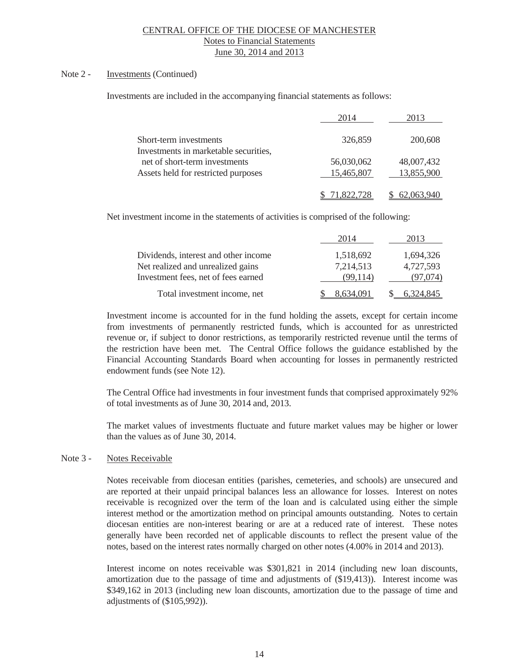# Note 2 - **Investments** (Continued)

Investments are included in the accompanying financial statements as follows:

|                                       | 2014       | 2013       |
|---------------------------------------|------------|------------|
| Short-term investments                | 326,859    | 200,608    |
| Investments in marketable securities, |            |            |
| net of short-term investments         | 56,030,062 | 48,007,432 |
| Assets held for restricted purposes   | 15,465,807 | 13,855,900 |
|                                       | 71.822.728 | 62,063,940 |

Net investment income in the statements of activities is comprised of the following:

|                                      | 2014      | 2013      |
|--------------------------------------|-----------|-----------|
| Dividends, interest and other income | 1,518,692 | 1,694,326 |
| Net realized and unrealized gains    | 7,214,513 | 4,727,593 |
| Investment fees, net of fees earned  | (99.114)  | (97.074)  |
| Total investment income, net         | 8.634.091 | 6.324.845 |

Investment income is accounted for in the fund holding the assets, except for certain income from investments of permanently restricted funds, which is accounted for as unrestricted revenue or, if subject to donor restrictions, as temporarily restricted revenue until the terms of the restriction have been met. The Central Office follows the guidance established by the Financial Accounting Standards Board when accounting for losses in permanently restricted endowment funds (see Note 12).

The Central Office had investments in four investment funds that comprised approximately 92% of total investments as of June 30, 2014 and, 2013.

 The market values of investments fluctuate and future market values may be higher or lower than the values as of June 30, 2014.

#### Note 3 - Notes Receivable

Notes receivable from diocesan entities (parishes, cemeteries, and schools) are unsecured and are reported at their unpaid principal balances less an allowance for losses. Interest on notes receivable is recognized over the term of the loan and is calculated using either the simple interest method or the amortization method on principal amounts outstanding. Notes to certain diocesan entities are non-interest bearing or are at a reduced rate of interest. These notes generally have been recorded net of applicable discounts to reflect the present value of the notes, based on the interest rates normally charged on other notes (4.00% in 2014 and 2013).

Interest income on notes receivable was \$301,821 in 2014 (including new loan discounts, amortization due to the passage of time and adjustments of (\$19,413)). Interest income was \$349,162 in 2013 (including new loan discounts, amortization due to the passage of time and adjustments of (\$105,992)).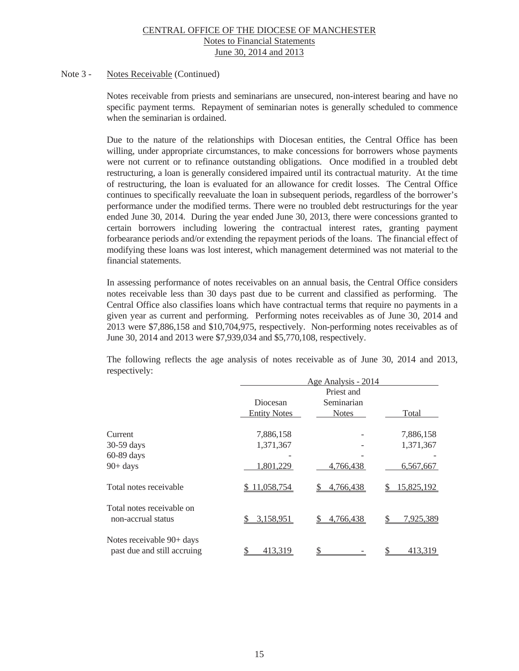#### Note 3 - Notes Receivable (Continued)

Notes receivable from priests and seminarians are unsecured, non-interest bearing and have no specific payment terms. Repayment of seminarian notes is generally scheduled to commence when the seminarian is ordained.

Due to the nature of the relationships with Diocesan entities, the Central Office has been willing, under appropriate circumstances, to make concessions for borrowers whose payments were not current or to refinance outstanding obligations. Once modified in a troubled debt restructuring, a loan is generally considered impaired until its contractual maturity. At the time of restructuring, the loan is evaluated for an allowance for credit losses. The Central Office continues to specifically reevaluate the loan in subsequent periods, regardless of the borrower's performance under the modified terms. There were no troubled debt restructurings for the year ended June 30, 2014. During the year ended June 30, 2013, there were concessions granted to certain borrowers including lowering the contractual interest rates, granting payment forbearance periods and/or extending the repayment periods of the loans. The financial effect of modifying these loans was lost interest, which management determined was not material to the financial statements.

In assessing performance of notes receivables on an annual basis, the Central Office considers notes receivable less than 30 days past due to be current and classified as performing. The Central Office also classifies loans which have contractual terms that require no payments in a given year as current and performing. Performing notes receivables as of June 30, 2014 and 2013 were \$7,886,158 and \$10,704,975, respectively. Non-performing notes receivables as of June 30, 2014 and 2013 were \$7,939,034 and \$5,770,108, respectively.

The following reflects the age analysis of notes receivable as of June 30, 2014 and 2013, respectively:

|                                                          |                     | Age Analysis - 2014 |            |  |  |  |  |
|----------------------------------------------------------|---------------------|---------------------|------------|--|--|--|--|
|                                                          |                     | Priest and          |            |  |  |  |  |
|                                                          | Diocesan            | Seminarian          |            |  |  |  |  |
|                                                          | <b>Entity Notes</b> | <b>Notes</b>        | Total      |  |  |  |  |
| Current                                                  | 7,886,158           |                     | 7,886,158  |  |  |  |  |
| 30-59 days                                               | 1,371,367           |                     | 1,371,367  |  |  |  |  |
| 60-89 days                                               |                     |                     |            |  |  |  |  |
| $90+ days$                                               | 1,801,229           | 4,766,438           | 6,567,667  |  |  |  |  |
| Total notes receivable                                   | 11,058,754          | 4,766,438           | 15,825,192 |  |  |  |  |
| Total notes receivable on<br>non-accrual status          | 3,158,951           | 4,766,438           | 7,925,389  |  |  |  |  |
| Notes receivable 90+ days<br>past due and still accruing | 413,319             |                     | 413,319    |  |  |  |  |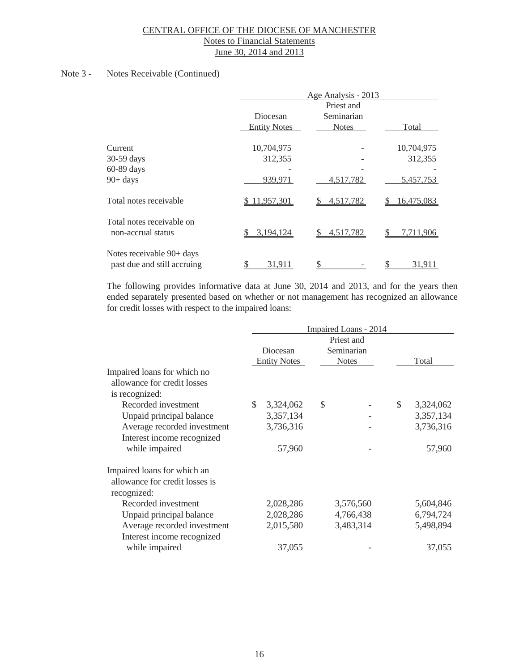### Note 3 - Notes Receivable (Continued)

|                                                          |                                 | Age Analysis - 2013                      |            |  |  |  |  |
|----------------------------------------------------------|---------------------------------|------------------------------------------|------------|--|--|--|--|
|                                                          | Diocesan<br><b>Entity Notes</b> | Priest and<br>Seminarian<br><b>Notes</b> |            |  |  |  |  |
| Current                                                  | 10,704,975                      |                                          | 10,704,975 |  |  |  |  |
| 30-59 days                                               | 312,355                         |                                          | 312,355    |  |  |  |  |
| 60-89 days                                               |                                 |                                          |            |  |  |  |  |
| $90+ days$                                               | 939,971                         | 4,517,782                                | 5,457,753  |  |  |  |  |
| Total notes receivable                                   | \$11,957,301                    | 4,517,782                                | 16,475,083 |  |  |  |  |
| Total notes receivable on<br>non-accrual status          | 3,194,124                       | 4,517,782                                | 7,711,906  |  |  |  |  |
| Notes receivable 90+ days<br>past due and still accruing | 31,911                          |                                          | 31,911     |  |  |  |  |

The following provides informative data at June 30, 2014 and 2013, and for the years then ended separately presented based on whether or not management has recognized an allowance for credit losses with respect to the impaired loans:

| Impaired Loans - 2014 |           |                     |  |                                                                                 |           |  |
|-----------------------|-----------|---------------------|--|---------------------------------------------------------------------------------|-----------|--|
|                       |           |                     |  |                                                                                 |           |  |
| Diocesan              |           |                     |  |                                                                                 |           |  |
|                       |           |                     |  |                                                                                 | Total     |  |
|                       |           |                     |  |                                                                                 |           |  |
|                       |           |                     |  |                                                                                 |           |  |
|                       |           |                     |  |                                                                                 |           |  |
| \$                    | 3,324,062 | $\mathcal{S}$       |  | \$                                                                              | 3,324,062 |  |
|                       | 3,357,134 |                     |  |                                                                                 | 3,357,134 |  |
|                       | 3,736,316 |                     |  |                                                                                 | 3,736,316 |  |
|                       |           |                     |  |                                                                                 |           |  |
|                       | 57,960    |                     |  |                                                                                 | 57,960    |  |
|                       |           |                     |  |                                                                                 |           |  |
|                       |           |                     |  |                                                                                 |           |  |
|                       |           |                     |  |                                                                                 |           |  |
|                       | 2,028,286 |                     |  |                                                                                 | 5,604,846 |  |
|                       | 2,028,286 |                     |  |                                                                                 | 6,794,724 |  |
|                       | 2,015,580 |                     |  |                                                                                 | 5,498,894 |  |
|                       |           |                     |  |                                                                                 |           |  |
|                       | 37,055    |                     |  |                                                                                 | 37,055    |  |
|                       |           | <b>Entity Notes</b> |  | Priest and<br>Seminarian<br><b>Notes</b><br>3,576,560<br>4,766,438<br>3,483,314 |           |  |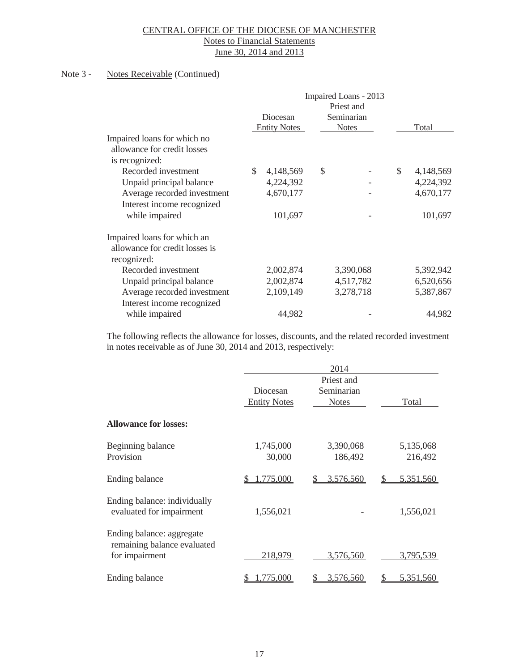#### Note 3 - Notes Receivable (Continued)

|                                |                                 |                                          | Impaired Loans - 2013 |       |           |
|--------------------------------|---------------------------------|------------------------------------------|-----------------------|-------|-----------|
|                                | Diocesan<br><b>Entity Notes</b> | Priest and<br>Seminarian<br><b>Notes</b> |                       | Total |           |
| Impaired loans for which no    |                                 |                                          |                       |       |           |
| allowance for credit losses    |                                 |                                          |                       |       |           |
| is recognized:                 |                                 |                                          |                       |       |           |
| Recorded investment            | \$<br>4,148,569                 | \$                                       |                       | \$    | 4,148,569 |
| Unpaid principal balance       | 4,224,392                       |                                          |                       |       | 4,224,392 |
| Average recorded investment    | 4,670,177                       |                                          |                       |       | 4,670,177 |
| Interest income recognized     |                                 |                                          |                       |       |           |
| while impaired                 | 101,697                         |                                          |                       |       | 101,697   |
| Impaired loans for which an    |                                 |                                          |                       |       |           |
| allowance for credit losses is |                                 |                                          |                       |       |           |
| recognized:                    |                                 |                                          |                       |       |           |
| Recorded investment            | 2,002,874                       |                                          | 3,390,068             |       | 5,392,942 |
| Unpaid principal balance       | 2,002,874                       |                                          | 4,517,782             |       | 6,520,656 |
| Average recorded investment    | 2,109,149                       |                                          | 3,278,718             |       | 5,387,867 |
| Interest income recognized     |                                 |                                          |                       |       |           |
| while impaired                 | 44,982                          |                                          |                       |       | 44,982    |

The following reflects the allowance for losses, discounts, and the related recorded investment in notes receivable as of June 30, 2014 and 2013, respectively:

|                                                                            |                                 | 2014                                     |                      |
|----------------------------------------------------------------------------|---------------------------------|------------------------------------------|----------------------|
|                                                                            | Diocesan<br><b>Entity Notes</b> | Priest and<br>Seminarian<br><b>Notes</b> | Total                |
| <b>Allowance for losses:</b>                                               |                                 |                                          |                      |
| Beginning balance<br>Provision                                             | 1,745,000<br>30,000             | 3,390,068<br>186,492                     | 5,135,068<br>216,492 |
| Ending balance                                                             | ,775,000                        | 3,576,560                                | 5,351,560            |
| Ending balance: individually<br>evaluated for impairment                   | 1,556,021                       |                                          | 1,556,021            |
| Ending balance: aggregate<br>remaining balance evaluated<br>for impairment | 218,979                         | 3,576,560                                | 3,795,539            |
| Ending balance                                                             | ,775,000                        | 3,576,560                                | 5,351,560<br>S       |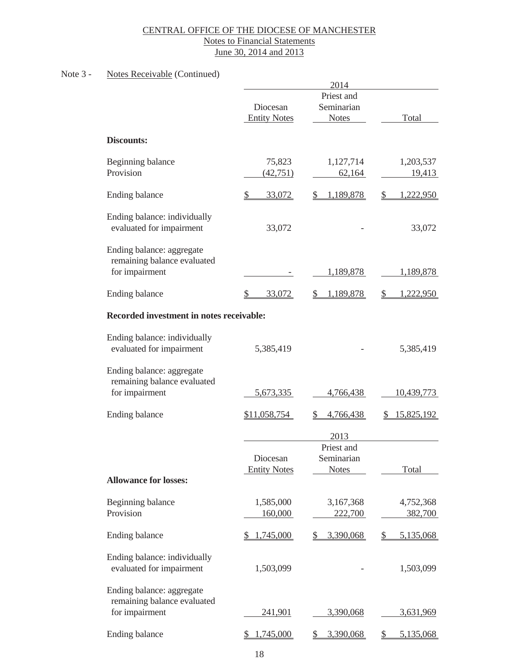### Note 3 - Notes Receivable (Continued)

|                              |                                                                                                                                                                                                                                                                                               | 2014                                                                                                                                                 |                                                                                                          |
|------------------------------|-----------------------------------------------------------------------------------------------------------------------------------------------------------------------------------------------------------------------------------------------------------------------------------------------|------------------------------------------------------------------------------------------------------------------------------------------------------|----------------------------------------------------------------------------------------------------------|
|                              |                                                                                                                                                                                                                                                                                               | Priest and                                                                                                                                           |                                                                                                          |
|                              | Diocesan                                                                                                                                                                                                                                                                                      | Seminarian                                                                                                                                           |                                                                                                          |
|                              | <b>Entity Notes</b>                                                                                                                                                                                                                                                                           | <b>Notes</b>                                                                                                                                         | Total                                                                                                    |
|                              |                                                                                                                                                                                                                                                                                               |                                                                                                                                                      |                                                                                                          |
|                              |                                                                                                                                                                                                                                                                                               |                                                                                                                                                      |                                                                                                          |
|                              |                                                                                                                                                                                                                                                                                               |                                                                                                                                                      | 1,203,537                                                                                                |
| Provision                    | (42, 751)                                                                                                                                                                                                                                                                                     | 62,164                                                                                                                                               | 19,413                                                                                                   |
|                              |                                                                                                                                                                                                                                                                                               |                                                                                                                                                      |                                                                                                          |
|                              |                                                                                                                                                                                                                                                                                               |                                                                                                                                                      | \$<br>1,222,950                                                                                          |
| Ending balance: individually |                                                                                                                                                                                                                                                                                               |                                                                                                                                                      |                                                                                                          |
| evaluated for impairment     | 33,072                                                                                                                                                                                                                                                                                        |                                                                                                                                                      | 33,072                                                                                                   |
|                              |                                                                                                                                                                                                                                                                                               |                                                                                                                                                      |                                                                                                          |
|                              |                                                                                                                                                                                                                                                                                               |                                                                                                                                                      |                                                                                                          |
| for impairment               |                                                                                                                                                                                                                                                                                               | 1,189,878                                                                                                                                            | 1,189,878                                                                                                |
|                              | S                                                                                                                                                                                                                                                                                             | S.                                                                                                                                                   | \$<br>1,222,950                                                                                          |
|                              |                                                                                                                                                                                                                                                                                               |                                                                                                                                                      |                                                                                                          |
|                              |                                                                                                                                                                                                                                                                                               |                                                                                                                                                      |                                                                                                          |
| Ending balance: individually |                                                                                                                                                                                                                                                                                               |                                                                                                                                                      |                                                                                                          |
|                              |                                                                                                                                                                                                                                                                                               |                                                                                                                                                      | 5,385,419                                                                                                |
| Ending balance: aggregate    |                                                                                                                                                                                                                                                                                               |                                                                                                                                                      |                                                                                                          |
|                              |                                                                                                                                                                                                                                                                                               |                                                                                                                                                      |                                                                                                          |
| for impairment               | 5,673,335                                                                                                                                                                                                                                                                                     | 4,766,438                                                                                                                                            | 10,439,773                                                                                               |
| Ending balance               | \$11,058,754                                                                                                                                                                                                                                                                                  | 4,766,438<br>S                                                                                                                                       | 15,825,192<br>D.                                                                                         |
|                              |                                                                                                                                                                                                                                                                                               |                                                                                                                                                      |                                                                                                          |
|                              |                                                                                                                                                                                                                                                                                               |                                                                                                                                                      |                                                                                                          |
|                              |                                                                                                                                                                                                                                                                                               |                                                                                                                                                      |                                                                                                          |
|                              |                                                                                                                                                                                                                                                                                               |                                                                                                                                                      |                                                                                                          |
|                              |                                                                                                                                                                                                                                                                                               |                                                                                                                                                      | <b>Total</b>                                                                                             |
|                              |                                                                                                                                                                                                                                                                                               |                                                                                                                                                      |                                                                                                          |
| Beginning balance            | 1,585,000                                                                                                                                                                                                                                                                                     | 3,167,368                                                                                                                                            | 4,752,368                                                                                                |
| Provision                    | 160,000                                                                                                                                                                                                                                                                                       | 222,700                                                                                                                                              | 382,700                                                                                                  |
| Ending balance               | 1,745,000<br>\$                                                                                                                                                                                                                                                                               | 3,390,068<br>S                                                                                                                                       | 5,135,068<br>S                                                                                           |
|                              |                                                                                                                                                                                                                                                                                               |                                                                                                                                                      |                                                                                                          |
|                              |                                                                                                                                                                                                                                                                                               |                                                                                                                                                      |                                                                                                          |
|                              |                                                                                                                                                                                                                                                                                               |                                                                                                                                                      | 1,503,099                                                                                                |
| Ending balance: aggregate    |                                                                                                                                                                                                                                                                                               |                                                                                                                                                      |                                                                                                          |
| remaining balance evaluated  |                                                                                                                                                                                                                                                                                               |                                                                                                                                                      |                                                                                                          |
| for impairment               | <u>241,901</u>                                                                                                                                                                                                                                                                                | 3,390,068                                                                                                                                            | <u>3,631,969</u>                                                                                         |
| Ending balance               | 1,745,000                                                                                                                                                                                                                                                                                     | 3,390,068<br>S                                                                                                                                       | \$<br>5,135,068                                                                                          |
|                              | <b>Discounts:</b><br>Beginning balance<br>Ending balance<br>Ending balance: aggregate<br>remaining balance evaluated<br>Ending balance<br>evaluated for impairment<br>remaining balance evaluated<br><b>Allowance for losses:</b><br>Ending balance: individually<br>evaluated for impairment | 75,823<br>$\frac{1}{2}$<br>33,072<br>33,072<br>Recorded investment in notes receivable:<br>5,385,419<br>Diocesan<br><b>Entity Notes</b><br>1,503,099 | 1,127,714<br>1,189,878<br>$\frac{1}{2}$<br>1,189,878<br>2013<br>Priest and<br>Seminarian<br><b>Notes</b> |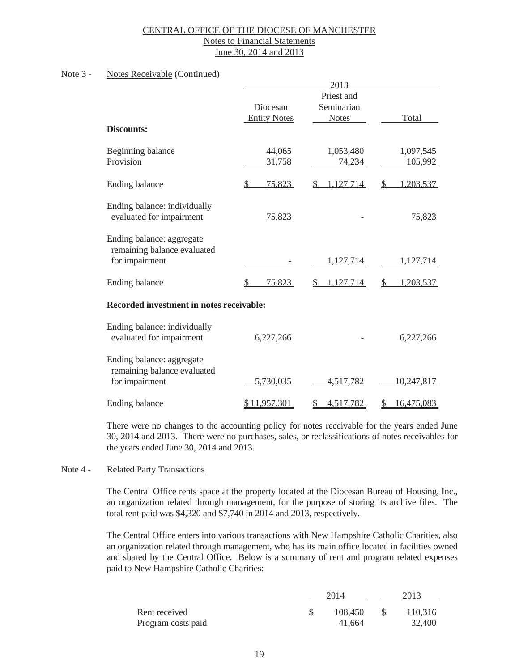### Note 3 - Notes Receivable (Continued)

|                                                                            |                                 | 2013                                     |                      |
|----------------------------------------------------------------------------|---------------------------------|------------------------------------------|----------------------|
| <b>Discounts:</b>                                                          | Diocesan<br><b>Entity Notes</b> | Priest and<br>Seminarian<br><b>Notes</b> | Total                |
| Beginning balance<br>Provision                                             | 44,065<br>31,758                | 1,053,480<br>74,234                      | 1,097,545<br>105,992 |
| Ending balance                                                             | 75,823<br>S                     | 1,127,714                                | ,203,537             |
| Ending balance: individually<br>evaluated for impairment                   | 75,823                          |                                          | 75,823               |
| Ending balance: aggregate<br>remaining balance evaluated<br>for impairment |                                 | 1,127,714                                | 1,127,714            |
| Ending balance                                                             | 75,823                          | 1,127,714                                | 1,203,537<br>S       |
| Recorded investment in notes receivable:                                   |                                 |                                          |                      |
| Ending balance: individually<br>evaluated for impairment                   | 6,227,266                       |                                          | 6,227,266            |
| Ending balance: aggregate<br>remaining balance evaluated<br>for impairment | 5,730,035                       | 4,517,782                                | 10,247,817           |
| Ending balance                                                             | \$11,957,301                    | 4,517,782<br>\$                          | 16,475,083<br>S      |

There were no changes to the accounting policy for notes receivable for the years ended June 30, 2014 and 2013. There were no purchases, sales, or reclassifications of notes receivables for the years ended June 30, 2014 and 2013.

### Note 4 - Related Party Transactions

 The Central Office rents space at the property located at the Diocesan Bureau of Housing, Inc., an organization related through management, for the purpose of storing its archive files. The total rent paid was \$4,320 and \$7,740 in 2014 and 2013, respectively.

 The Central Office enters into various transactions with New Hampshire Catholic Charities, also an organization related through management, who has its main office located in facilities owned and shared by the Central Office. Below is a summary of rent and program related expenses paid to New Hampshire Catholic Charities:

|                    | 2014    |              | 2013    |
|--------------------|---------|--------------|---------|
| Rent received      | 108,450 | $\mathbb{S}$ | 110,316 |
| Program costs paid | 41.664  |              | 32,400  |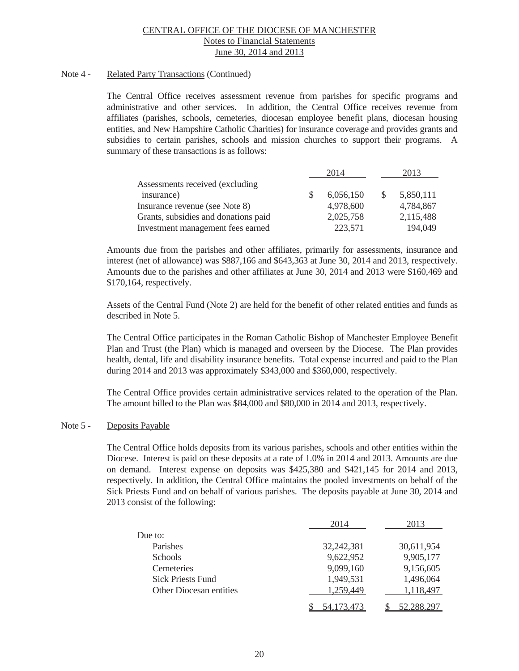### Note 4 - Related Party Transactions (Continued)

 The Central Office receives assessment revenue from parishes for specific programs and administrative and other services. In addition, the Central Office receives revenue from affiliates (parishes, schools, cemeteries, diocesan employee benefit plans, diocesan housing entities, and New Hampshire Catholic Charities) for insurance coverage and provides grants and subsidies to certain parishes, schools and mission churches to support their programs. A summary of these transactions is as follows:

|                                      | 2014      | 2013      |
|--------------------------------------|-----------|-----------|
| Assessments received (excluding      |           |           |
| insurance)                           | 6,056,150 | 5,850,111 |
| Insurance revenue (see Note 8)       | 4,978,600 | 4,784,867 |
| Grants, subsidies and donations paid | 2,025,758 | 2,115,488 |
| Investment management fees earned    | 223,571   | 194,049   |

 Amounts due from the parishes and other affiliates, primarily for assessments, insurance and interest (net of allowance) was \$887,166 and \$643,363 at June 30, 2014 and 2013, respectively. Amounts due to the parishes and other affiliates at June 30, 2014 and 2013 were \$160,469 and \$170,164, respectively.

 Assets of the Central Fund (Note 2) are held for the benefit of other related entities and funds as described in Note 5.

The Central Office participates in the Roman Catholic Bishop of Manchester Employee Benefit Plan and Trust (the Plan) which is managed and overseen by the Diocese. The Plan provides health, dental, life and disability insurance benefits. Total expense incurred and paid to the Plan during 2014 and 2013 was approximately \$343,000 and \$360,000, respectively.

The Central Office provides certain administrative services related to the operation of the Plan. The amount billed to the Plan was \$84,000 and \$80,000 in 2014 and 2013, respectively.

### Note 5 - Deposits Payable

 The Central Office holds deposits from its various parishes, schools and other entities within the Diocese. Interest is paid on these deposits at a rate of 1.0% in 2014 and 2013. Amounts are due on demand. Interest expense on deposits was \$425,380 and \$421,145 for 2014 and 2013, respectively. In addition, the Central Office maintains the pooled investments on behalf of the Sick Priests Fund and on behalf of various parishes. The deposits payable at June 30, 2014 and 2013 consist of the following:

|                                | 2014         | 2013       |
|--------------------------------|--------------|------------|
| Due to:                        |              |            |
| Parishes                       | 32,242,381   | 30,611,954 |
| <b>Schools</b>                 | 9,622,952    | 9,905,177  |
| Cemeteries                     | 9,099,160    | 9,156,605  |
| <b>Sick Priests Fund</b>       | 1,949,531    | 1,496,064  |
| <b>Other Diocesan entities</b> | 1,259,449    | 1,118,497  |
|                                | 54, 173, 473 | 52,288,297 |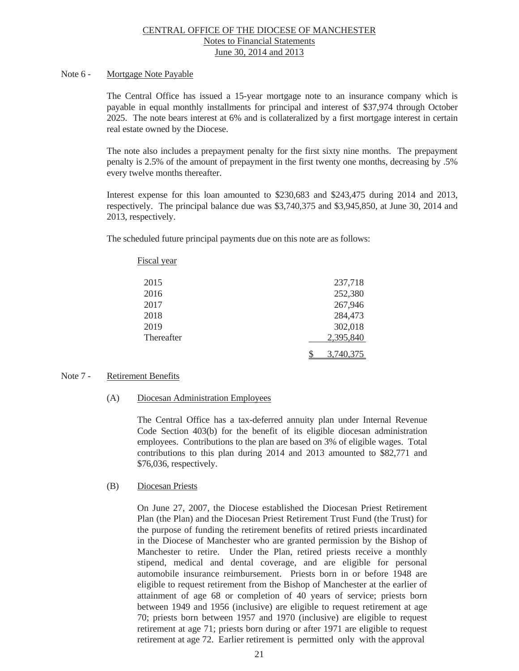#### Note 6 - Mortgage Note Payable

The Central Office has issued a 15-year mortgage note to an insurance company which is payable in equal monthly installments for principal and interest of \$37,974 through October 2025. The note bears interest at 6% and is collateralized by a first mortgage interest in certain real estate owned by the Diocese.

The note also includes a prepayment penalty for the first sixty nine months. The prepayment penalty is 2.5% of the amount of prepayment in the first twenty one months, decreasing by .5% every twelve months thereafter.

Interest expense for this loan amounted to \$230,683 and \$243,475 during 2014 and 2013, respectively. The principal balance due was \$3,740,375 and \$3,945,850, at June 30, 2014 and 2013, respectively.

The scheduled future principal payments due on this note are as follows:

| <b>Fiscal year</b> |           |
|--------------------|-----------|
| 2015               | 237,718   |
| 2016               | 252,380   |
| 2017               | 267,946   |
| 2018               | 284,473   |
| 2019               | 302,018   |
| Thereafter         | 2,395,840 |
|                    | 3,740,375 |

#### Note 7 - Retirement Benefits

(A) Diocesan Administration Employees

The Central Office has a tax-deferred annuity plan under Internal Revenue Code Section 403(b) for the benefit of its eligible diocesan administration employees. Contributions to the plan are based on 3% of eligible wages. Total contributions to this plan during 2014 and 2013 amounted to \$82,771 and \$76,036, respectively.

### (B) Diocesan Priests

On June 27, 2007, the Diocese established the Diocesan Priest Retirement Plan (the Plan) and the Diocesan Priest Retirement Trust Fund (the Trust) for the purpose of funding the retirement benefits of retired priests incardinated in the Diocese of Manchester who are granted permission by the Bishop of Manchester to retire. Under the Plan, retired priests receive a monthly stipend, medical and dental coverage, and are eligible for personal automobile insurance reimbursement. Priests born in or before 1948 are eligible to request retirement from the Bishop of Manchester at the earlier of attainment of age 68 or completion of 40 years of service; priests born between 1949 and 1956 (inclusive) are eligible to request retirement at age 70; priests born between 1957 and 1970 (inclusive) are eligible to request retirement at age 71; priests born during or after 1971 are eligible to request retirement at age 72. Earlier retirement is permitted only with the approval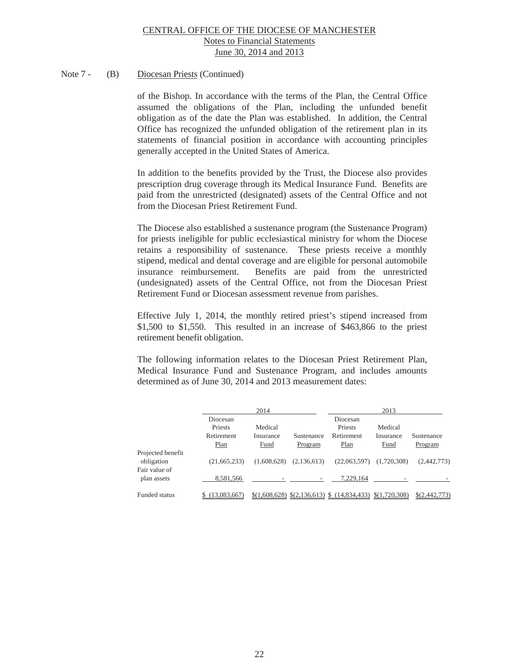# Note 7 - (B) Diocesan Priests (Continued)

of the Bishop. In accordance with the terms of the Plan, the Central Office assumed the obligations of the Plan, including the unfunded benefit obligation as of the date the Plan was established. In addition, the Central Office has recognized the unfunded obligation of the retirement plan in its statements of financial position in accordance with accounting principles generally accepted in the United States of America.

In addition to the benefits provided by the Trust, the Diocese also provides prescription drug coverage through its Medical Insurance Fund. Benefits are paid from the unrestricted (designated) assets of the Central Office and not from the Diocesan Priest Retirement Fund.

The Diocese also established a sustenance program (the Sustenance Program) for priests ineligible for public ecclesiastical ministry for whom the Diocese retains a responsibility of sustenance. These priests receive a monthly stipend, medical and dental coverage and are eligible for personal automobile insurance reimbursement. Benefits are paid from the unrestricted (undesignated) assets of the Central Office, not from the Diocesan Priest Retirement Fund or Diocesan assessment revenue from parishes.

Effective July 1, 2014, the monthly retired priest's stipend increased from \$1,500 to \$1,550. This resulted in an increase of \$463,866 to the priest retirement benefit obligation.

The following information relates to the Diocesan Priest Retirement Plan, Medical Insurance Fund and Sustenance Program, and includes amounts determined as of June 30, 2014 and 2013 measurement dates:

|                   |                | 2014        |             |                                            | 2013          |               |
|-------------------|----------------|-------------|-------------|--------------------------------------------|---------------|---------------|
|                   | Diocesan       |             |             | Diocesan                                   |               |               |
|                   | Priests        | Medical     |             | Priests                                    | Medical       |               |
|                   | Retirement     | Insurance   | Sustenance  | Retirement                                 | Insurance     | Sustenance    |
|                   | Plan           | <b>Fund</b> | Program     | Plan                                       | <b>Fund</b>   | Program       |
| Projected benefit |                |             |             |                                            |               |               |
| obligation        | (21,665,233)   | (1,608,628) | (2,136,613) | (22,063,597)                               | (1,720,308)   | (2,442,773)   |
| Fair value of     |                |             |             |                                            |               |               |
| plan assets       | 8,581,566      |             |             | 7.229.164                                  |               |               |
|                   |                |             |             |                                            |               |               |
| Funded status     | \$(13,083,667) |             |             | $$(1,608,628) $(2,136,613) $ (14,834,433)$ | \$(1,720,308) | \$(2,442,773) |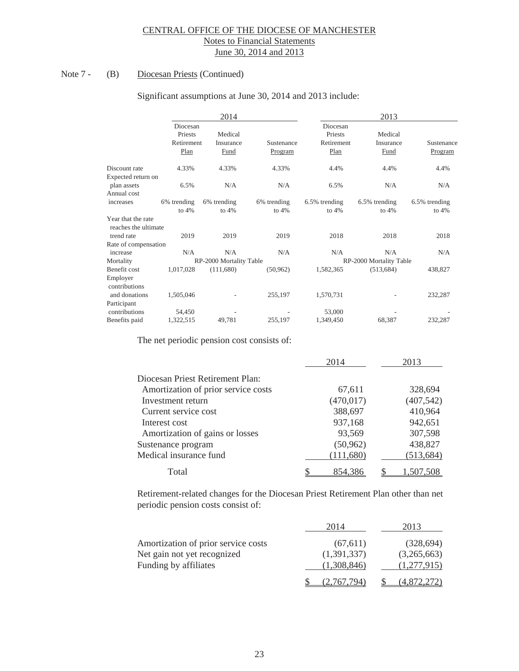# Note 7 - (B) Diocesan Priests (Continued)

|                                            |                     | 2014                    |             |                     | 2013                    |               |
|--------------------------------------------|---------------------|-------------------------|-------------|---------------------|-------------------------|---------------|
|                                            | Diocesan<br>Priests | Medical                 |             | Diocesan<br>Priests | Medical                 |               |
|                                            | Retirement          | Insurance               | Sustenance  | Retirement          | Insurance               | Sustenance    |
|                                            | Plan                | Fund                    | Program     | Plan                | Fund                    | Program       |
| Discount rate                              | 4.33%               | 4.33%                   | 4.33%       | 4.4%                | 4.4%                    | 4.4%          |
| Expected return on                         |                     |                         |             |                     |                         |               |
| plan assets                                | 6.5%                | N/A                     | N/A         | 6.5%                | N/A                     | N/A           |
| Annual cost                                |                     |                         |             |                     |                         |               |
| increases                                  | 6% trending         | 6% trending             | 6% trending | 6.5% trending       | 6.5% trending           | 6.5% trending |
|                                            | to $4%$             | to $4%$                 | to $4%$     | to $4%$             | to $4%$                 | to $4%$       |
| Year that the rate<br>reaches the ultimate |                     |                         |             |                     |                         |               |
| trend rate                                 | 2019                | 2019                    | 2019        | 2018                | 2018                    | 2018          |
| Rate of compensation                       |                     |                         |             |                     |                         |               |
| increase                                   | N/A                 | N/A                     | N/A         | N/A                 | N/A                     | N/A           |
| Mortality                                  |                     | RP-2000 Mortality Table |             |                     | RP-2000 Mortality Table |               |
| Benefit cost                               | 1,017,028           | (111,680)               | (50, 962)   | 1,582,365           | (513, 684)              | 438,827       |
| Employer                                   |                     |                         |             |                     |                         |               |
| contributions                              |                     |                         |             |                     |                         |               |
| and donations                              | 1,505,046           |                         | 255,197     | 1,570,731           |                         | 232,287       |
| Participant                                |                     |                         |             |                     |                         |               |
| contributions                              | 54,450              |                         |             | 53,000              |                         |               |
| Benefits paid                              | 1,322,515           | 49,781                  | 255,197     | 1,349,450           | 68,387                  | 232,287       |
|                                            |                     |                         |             |                     |                         |               |

#### Significant assumptions at June 30, 2014 and 2013 include:

The net periodic pension cost consists of:

|                                     | 2014       | 2013       |
|-------------------------------------|------------|------------|
| Diocesan Priest Retirement Plan:    |            |            |
| Amortization of prior service costs | 67,611     | 328,694    |
| Investment return                   | (470, 017) | (407, 542) |
| Current service cost                | 388,697    | 410,964    |
| Interest cost                       | 937,168    | 942,651    |
| Amortization of gains or losses     | 93,569     | 307,598    |
| Sustenance program                  | (50, 962)  | 438,827    |
| Medical insurance fund              | (111,680)  | (513, 684) |
| Total                               | 854.386    |            |

Retirement-related changes for the Diocesan Priest Retirement Plan other than net periodic pension costs consist of:

|                                     | 2014        | 2013        |
|-------------------------------------|-------------|-------------|
| Amortization of prior service costs | (67, 611)   | (328, 694)  |
| Net gain not yet recognized         | (1,391,337) | (3,265,663) |
| Funding by affiliates               | (1,308,846) | (1,277,915) |
|                                     | (2.767.794) | (4,872,272) |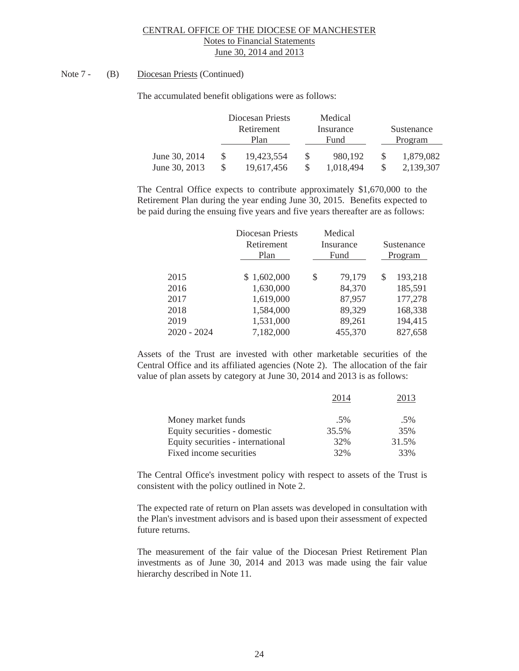### Note 7 - (B) Diocesan Priests (Continued)

The accumulated benefit obligations were as follows:

|               | Diocesan Priests | Medical   |            |
|---------------|------------------|-----------|------------|
|               | Retirement       | Insurance | Sustenance |
|               | Plan             | Fund      | Program    |
| June 30, 2014 | 19,423,554       | 980.192   | 1,879,082  |
| June 30, 2013 | 19,617,456       | 1,018,494 | 2,139,307  |

The Central Office expects to contribute approximately \$1,670,000 to the Retirement Plan during the year ending June 30, 2015. Benefits expected to be paid during the ensuing five years and five years thereafter are as follows:

|               | Diocesan Priests<br>Retirement<br>Plan | Medical<br>Insurance<br>Fund |   | Sustenance<br>Program |
|---------------|----------------------------------------|------------------------------|---|-----------------------|
| 2015          | \$1,602,000                            | \$<br>79,179                 | S | 193,218               |
| 2016          | 1,630,000                              | 84,370                       |   | 185,591               |
| 2017          | 1,619,000                              | 87,957                       |   | 177,278               |
| 2018          | 1,584,000                              | 89,329                       |   | 168,338               |
| 2019          | 1,531,000                              | 89,261                       |   | 194,415               |
| $2020 - 2024$ | 7,182,000                              | 455,370                      |   | 827,658               |

Assets of the Trust are invested with other marketable securities of the Central Office and its affiliated agencies (Note 2). The allocation of the fair value of plan assets by category at June 30, 2014 and 2013 is as follows:

|                                   | 2014  |       |
|-----------------------------------|-------|-------|
| Money market funds                | .5%   | .5%   |
| Equity securities - domestic      | 35.5% | 35%   |
| Equity securities - international | 32%   | 31.5% |
| Fixed income securities           | 32%   | 33%   |

 The Central Office's investment policy with respect to assets of the Trust is consistent with the policy outlined in Note 2.

The expected rate of return on Plan assets was developed in consultation with the Plan's investment advisors and is based upon their assessment of expected future returns.

 The measurement of the fair value of the Diocesan Priest Retirement Plan investments as of June 30, 2014 and 2013 was made using the fair value hierarchy described in Note 11.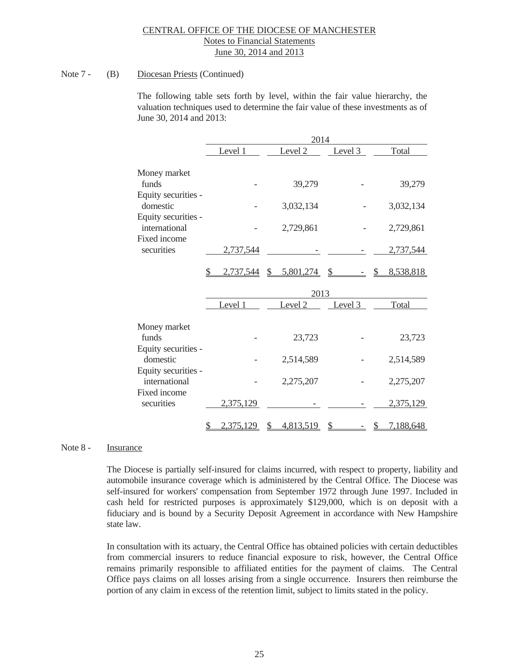### Note 7 - (B) Diocesan Priests (Continued)

 The following table sets forth by level, within the fair value hierarchy, the valuation techniques used to determine the fair value of these investments as of June 30, 2014 and 2013:

|                                      |                 | 2014            |               |                            |
|--------------------------------------|-----------------|-----------------|---------------|----------------------------|
|                                      | Level 1         | Level 2         | Level 3       | Total                      |
| Money market                         |                 |                 |               |                            |
| funds                                |                 | 39,279          |               | 39,279                     |
| Equity securities -<br>domestic      |                 | 3,032,134       |               | 3,032,134                  |
| Equity securities -<br>international |                 |                 |               |                            |
| Fixed income                         |                 | 2,729,861       |               | 2,729,861                  |
| securities                           | 2,737,544       |                 |               | 2,737,544                  |
|                                      | 2,737,544       | 5,801,274<br>\$ | \$            | 8,538,818                  |
|                                      |                 | 2013            |               |                            |
|                                      | Level 1         | Level 2         | Level 3       | Total                      |
| Money market                         |                 |                 |               |                            |
| funds                                |                 | 23,723          |               | 23,723                     |
| Equity securities -<br>domestic      |                 | 2,514,589       |               | 2,514,589                  |
| Equity securities -<br>international |                 | 2,275,207       |               | 2,275,207                  |
| Fixed income<br>securities           | 2,375,129       |                 |               | 2,375,129                  |
|                                      | 2,375,129<br>\$ | 4,813,519<br>S  | $\mathcal{S}$ | 7,188,648<br>$\frac{1}{2}$ |

#### Note 8 - **Insurance**

 The Diocese is partially self-insured for claims incurred, with respect to property, liability and automobile insurance coverage which is administered by the Central Office. The Diocese was self-insured for workers' compensation from September 1972 through June 1997. Included in cash held for restricted purposes is approximately \$129,000, which is on deposit with a fiduciary and is bound by a Security Deposit Agreement in accordance with New Hampshire state law.

 In consultation with its actuary, the Central Office has obtained policies with certain deductibles from commercial insurers to reduce financial exposure to risk, however, the Central Office remains primarily responsible to affiliated entities for the payment of claims. The Central Office pays claims on all losses arising from a single occurrence. Insurers then reimburse the portion of any claim in excess of the retention limit, subject to limits stated in the policy.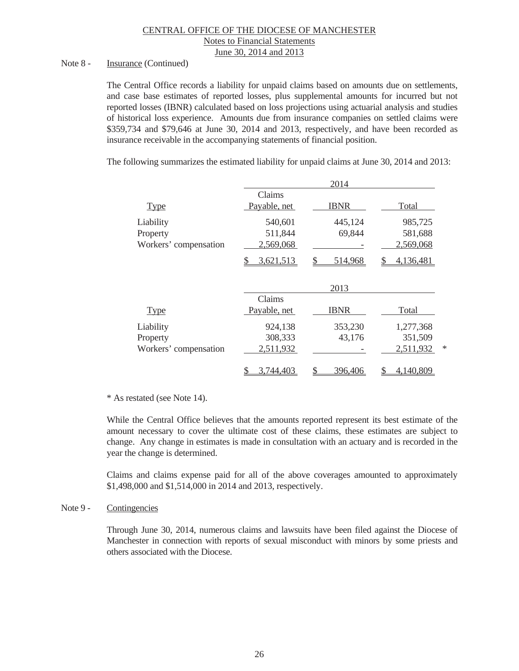Notes to Financial Statements

June 30, 2014 and 2013

#### Note 8 - Insurance (Continued)

 The Central Office records a liability for unpaid claims based on amounts due on settlements, and case base estimates of reported losses, plus supplemental amounts for incurred but not reported losses (IBNR) calculated based on loss projections using actuarial analysis and studies of historical loss experience. Amounts due from insurance companies on settled claims were \$359,734 and \$79,646 at June 30, 2014 and 2013, respectively, and have been recorded as insurance receivable in the accompanying statements of financial position.

The following summarizes the estimated liability for unpaid claims at June 30, 2014 and 2013:

|                       |                 | 2014          |                 |
|-----------------------|-----------------|---------------|-----------------|
|                       | Claims          |               |                 |
| <b>Type</b>           | Payable, net    | <b>IBNR</b>   | Total           |
| Liability             | 540,601         | 445,124       | 985,725         |
| Property              | 511,844         | 69,844        | 581,688         |
| Workers' compensation | 2,569,068       |               | 2,569,068       |
|                       | 3,621,513       | 514,968       | 4,136,481<br>S. |
|                       |                 | 2013          |                 |
|                       | Claims          |               |                 |
| <b>Type</b>           | Payable, net    | <b>IBNR</b>   | Total           |
| Liability             | 924,138         | 353,230       | 1,277,368       |
| Property              | 308,333         | 43,176        | 351,509         |
| Workers' compensation | 2,511,932       |               | ∗<br>2,511,932  |
|                       | 3,744,403<br>\$ | 396,406<br>\$ | 4,140,809<br>\$ |

#### \* As restated (see Note 14).

 While the Central Office believes that the amounts reported represent its best estimate of the amount necessary to cover the ultimate cost of these claims, these estimates are subject to change. Any change in estimates is made in consultation with an actuary and is recorded in the year the change is determined.

 Claims and claims expense paid for all of the above coverages amounted to approximately \$1,498,000 and \$1,514,000 in 2014 and 2013, respectively.

#### Note 9 - Contingencies

Through June 30, 2014, numerous claims and lawsuits have been filed against the Diocese of Manchester in connection with reports of sexual misconduct with minors by some priests and others associated with the Diocese.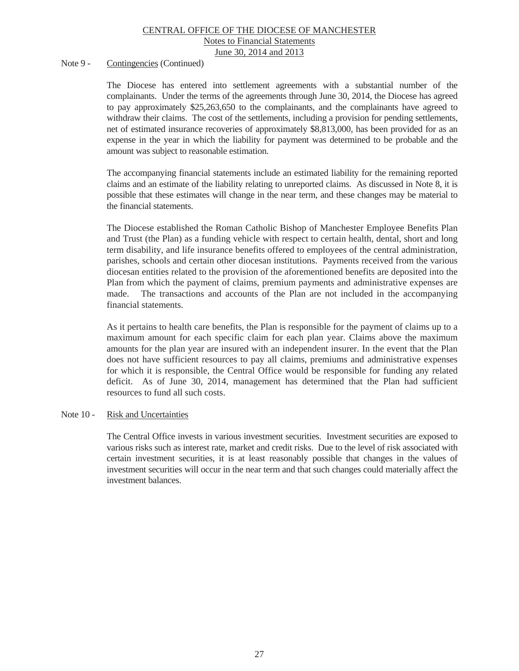### Note 9 - Contingencies (Continued)

The Diocese has entered into settlement agreements with a substantial number of the complainants. Under the terms of the agreements through June 30, 2014, the Diocese has agreed to pay approximately \$25,263,650 to the complainants, and the complainants have agreed to withdraw their claims. The cost of the settlements, including a provision for pending settlements, net of estimated insurance recoveries of approximately \$8,813,000, has been provided for as an expense in the year in which the liability for payment was determined to be probable and the amount was subject to reasonable estimation.

The accompanying financial statements include an estimated liability for the remaining reported claims and an estimate of the liability relating to unreported claims. As discussed in Note 8, it is possible that these estimates will change in the near term, and these changes may be material to the financial statements.

The Diocese established the Roman Catholic Bishop of Manchester Employee Benefits Plan and Trust (the Plan) as a funding vehicle with respect to certain health, dental, short and long term disability, and life insurance benefits offered to employees of the central administration, parishes, schools and certain other diocesan institutions. Payments received from the various diocesan entities related to the provision of the aforementioned benefits are deposited into the Plan from which the payment of claims, premium payments and administrative expenses are made. The transactions and accounts of the Plan are not included in the accompanying financial statements.

As it pertains to health care benefits, the Plan is responsible for the payment of claims up to a maximum amount for each specific claim for each plan year. Claims above the maximum amounts for the plan year are insured with an independent insurer. In the event that the Plan does not have sufficient resources to pay all claims, premiums and administrative expenses for which it is responsible, the Central Office would be responsible for funding any related deficit. As of June 30, 2014, management has determined that the Plan had sufficient resources to fund all such costs.

#### Note 10 - Risk and Uncertainties

 The Central Office invests in various investment securities. Investment securities are exposed to various risks such as interest rate, market and credit risks. Due to the level of risk associated with certain investment securities, it is at least reasonably possible that changes in the values of investment securities will occur in the near term and that such changes could materially affect the investment balances.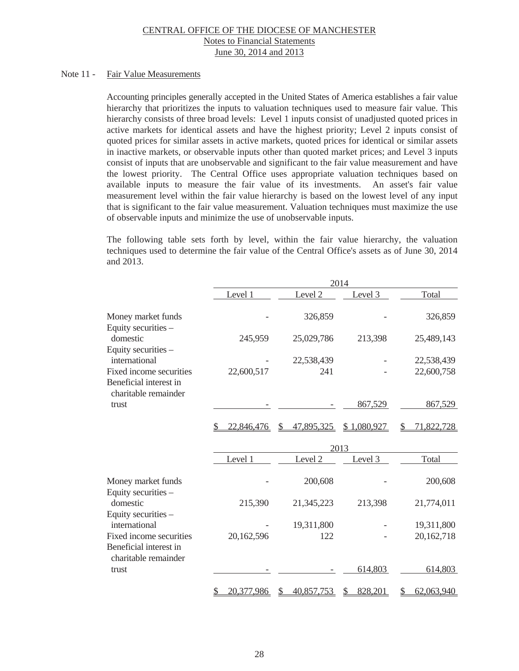#### Note 11 - Fair Value Measurements

Accounting principles generally accepted in the United States of America establishes a fair value hierarchy that prioritizes the inputs to valuation techniques used to measure fair value. This hierarchy consists of three broad levels: Level 1 inputs consist of unadjusted quoted prices in active markets for identical assets and have the highest priority; Level 2 inputs consist of quoted prices for similar assets in active markets, quoted prices for identical or similar assets in inactive markets, or observable inputs other than quoted market prices; and Level 3 inputs consist of inputs that are unobservable and significant to the fair value measurement and have the lowest priority. The Central Office uses appropriate valuation techniques based on available inputs to measure the fair value of its investments. An asset's fair value measurement level within the fair value hierarchy is based on the lowest level of any input that is significant to the fair value measurement. Valuation techniques must maximize the use of observable inputs and minimize the use of unobservable inputs.

The following table sets forth by level, within the fair value hierarchy, the valuation techniques used to determine the fair value of the Central Office's assets as of June 30, 2014 and 2013.

|                                                                           | 2014             |                    |             |                  |  |
|---------------------------------------------------------------------------|------------------|--------------------|-------------|------------------|--|
|                                                                           | Level 1          | Level 2            | Level 3     | Total            |  |
| Money market funds<br>Equity securities -                                 |                  | 326,859            |             | 326,859          |  |
| domestic<br>Equity securities -                                           | 245,959          | 25,029,786         | 213,398     | 25,489,143       |  |
| international                                                             |                  | 22,538,439         |             | 22,538,439       |  |
| Fixed income securities<br>Beneficial interest in<br>charitable remainder | 22,600,517       | 241                |             | 22,600,758       |  |
| trust                                                                     |                  |                    | 867,529     | 867,529          |  |
|                                                                           | 22,846,476       | 47,895,325<br>\$.  | \$1,080,927 | 71,822,728<br>S  |  |
|                                                                           |                  |                    | 2013        |                  |  |
|                                                                           | Level 1          | Level <sub>2</sub> | Level 3     | Total            |  |
| Money market funds<br>Equity securities -                                 |                  | 200,608            |             | 200,608          |  |
| domestic<br>Equity securities -                                           | 215,390          | 21,345,223         | 213,398     | 21,774,011       |  |
| international                                                             |                  | 19,311,800         |             | 19,311,800       |  |
| Fixed income securities<br>Beneficial interest in<br>charitable remainder | 20,162,596       | 122                |             | 20, 162, 718     |  |
| trust                                                                     |                  |                    | 614,803     | 614,803          |  |
|                                                                           | 20,377,986<br>\$ | 40,857,753<br>S    | 828,201     | 62,063,940<br>\$ |  |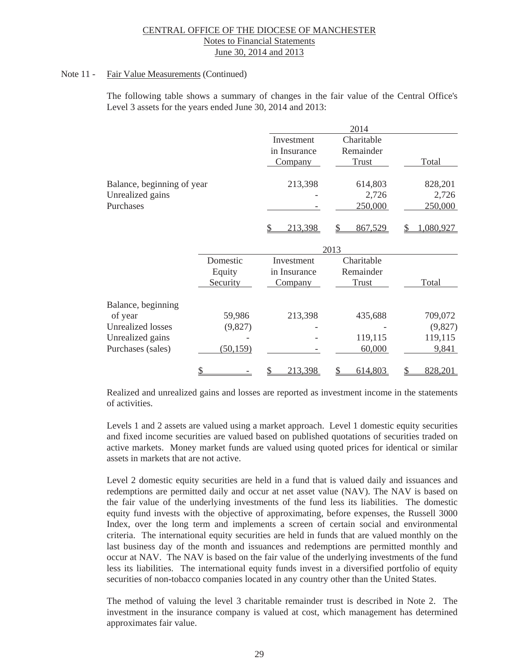### Note 11 - Fair Value Measurements (Continued)

The following table shows a summary of changes in the fair value of the Central Office's Level 3 assets for the years ended June 30, 2014 and 2013:

|                            |           |                | 2014         |                |
|----------------------------|-----------|----------------|--------------|----------------|
|                            |           | Investment     | Charitable   |                |
|                            |           | in Insurance   | Remainder    |                |
|                            |           | <b>Company</b> | <b>Trust</b> | Total          |
| Balance, beginning of year |           | 213,398        | 614,803      | 828,201        |
| Unrealized gains           |           |                | 2,726        | 2,726          |
| Purchases                  |           |                | 250,000      | 250,000        |
|                            |           | 213,398        | 867,529      | 1,080,927<br>S |
|                            |           |                | 2013         |                |
|                            | Domestic  | Investment     | Charitable   |                |
|                            | Equity    | in Insurance   | Remainder    |                |
|                            | Security  | <b>Company</b> | <b>Trust</b> | Total          |
| Balance, beginning         |           |                |              |                |
| of year                    | 59,986    | 213,398        | 435,688      | 709,072        |
| <b>Unrealized losses</b>   | (9,827)   |                |              | (9,827)        |
| Unrealized gains           |           |                | 119,115      | 119,115        |
| Purchases (sales)          | (50, 159) |                | 60,000       | 9,841          |
|                            | \$        | 213,398        | 614,803<br>S | 828,201        |

Realized and unrealized gains and losses are reported as investment income in the statements of activities.

Levels 1 and 2 assets are valued using a market approach. Level 1 domestic equity securities and fixed income securities are valued based on published quotations of securities traded on active markets. Money market funds are valued using quoted prices for identical or similar assets in markets that are not active.

Level 2 domestic equity securities are held in a fund that is valued daily and issuances and redemptions are permitted daily and occur at net asset value (NAV). The NAV is based on the fair value of the underlying investments of the fund less its liabilities. The domestic equity fund invests with the objective of approximating, before expenses, the Russell 3000 Index, over the long term and implements a screen of certain social and environmental criteria. The international equity securities are held in funds that are valued monthly on the last business day of the month and issuances and redemptions are permitted monthly and occur at NAV. The NAV is based on the fair value of the underlying investments of the fund less its liabilities. The international equity funds invest in a diversified portfolio of equity securities of non-tobacco companies located in any country other than the United States.

The method of valuing the level 3 charitable remainder trust is described in Note 2. The investment in the insurance company is valued at cost, which management has determined approximates fair value.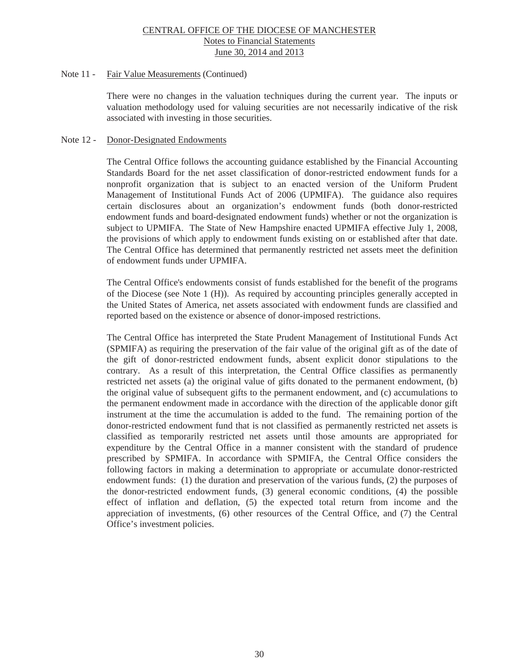#### Note 11 - Fair Value Measurements (Continued)

There were no changes in the valuation techniques during the current year. The inputs or valuation methodology used for valuing securities are not necessarily indicative of the risk associated with investing in those securities.

#### Note 12 - Donor-Designated Endowments

The Central Office follows the accounting guidance established by the Financial Accounting Standards Board for the net asset classification of donor-restricted endowment funds for a nonprofit organization that is subject to an enacted version of the Uniform Prudent Management of Institutional Funds Act of 2006 (UPMIFA). The guidance also requires certain disclosures about an organization's endowment funds (both donor-restricted endowment funds and board-designated endowment funds) whether or not the organization is subject to UPMIFA. The State of New Hampshire enacted UPMIFA effective July 1, 2008, the provisions of which apply to endowment funds existing on or established after that date. The Central Office has determined that permanently restricted net assets meet the definition of endowment funds under UPMIFA.

The Central Office's endowments consist of funds established for the benefit of the programs of the Diocese (see Note 1 (H)). As required by accounting principles generally accepted in the United States of America, net assets associated with endowment funds are classified and reported based on the existence or absence of donor-imposed restrictions.

The Central Office has interpreted the State Prudent Management of Institutional Funds Act (SPMIFA) as requiring the preservation of the fair value of the original gift as of the date of the gift of donor-restricted endowment funds, absent explicit donor stipulations to the contrary. As a result of this interpretation, the Central Office classifies as permanently restricted net assets (a) the original value of gifts donated to the permanent endowment, (b) the original value of subsequent gifts to the permanent endowment, and (c) accumulations to the permanent endowment made in accordance with the direction of the applicable donor gift instrument at the time the accumulation is added to the fund. The remaining portion of the donor-restricted endowment fund that is not classified as permanently restricted net assets is classified as temporarily restricted net assets until those amounts are appropriated for expenditure by the Central Office in a manner consistent with the standard of prudence prescribed by SPMIFA. In accordance with SPMIFA, the Central Office considers the following factors in making a determination to appropriate or accumulate donor-restricted endowment funds: (1) the duration and preservation of the various funds, (2) the purposes of the donor-restricted endowment funds, (3) general economic conditions, (4) the possible effect of inflation and deflation, (5) the expected total return from income and the appreciation of investments, (6) other resources of the Central Office, and (7) the Central Office's investment policies.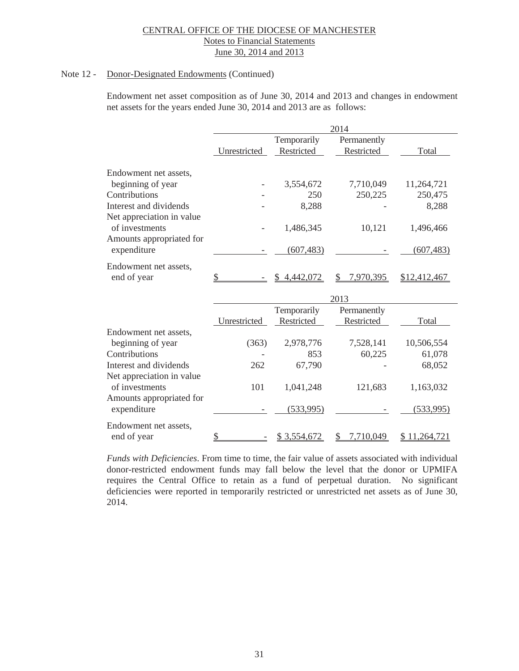### Note 12 - Donor-Designated Endowments (Continued)

Endowment net asset composition as of June 30, 2014 and 2013 and changes in endowment net assets for the years ended June 30, 2014 and 2013 are as follows:

|                           | 2014         |             |                |              |  |  |
|---------------------------|--------------|-------------|----------------|--------------|--|--|
|                           |              | Temporarily | Permanently    |              |  |  |
|                           | Unrestricted | Restricted  | Restricted     | Total        |  |  |
|                           |              |             |                |              |  |  |
| Endowment net assets,     |              |             |                |              |  |  |
| beginning of year         |              | 3,554,672   | 7,710,049      | 11,264,721   |  |  |
| Contributions             |              | 250         | 250,225        | 250,475      |  |  |
| Interest and dividends    |              | 8,288       |                | 8,288        |  |  |
| Net appreciation in value |              |             |                |              |  |  |
| of investments            |              | 1,486,345   | 10,121         | 1,496,466    |  |  |
| Amounts appropriated for  |              |             |                |              |  |  |
| expenditure               |              | (607, 483)  |                | (607, 483)   |  |  |
|                           |              |             |                |              |  |  |
| Endowment net assets,     |              |             |                |              |  |  |
| end of year               | \$           | 4,442,072   | 7,970,395<br>S | \$12,412,467 |  |  |
|                           |              |             | 2013           |              |  |  |
|                           |              | Temporarily | Permanently    |              |  |  |
|                           | Unrestricted | Restricted  | Restricted     | Total        |  |  |
| Endowment net assets,     |              |             |                |              |  |  |
| beginning of year         | (363)        | 2,978,776   | 7,528,141      | 10,506,554   |  |  |
| Contributions             |              | 853         | 60,225         | 61,078       |  |  |
| Interest and dividends    | 262          | 67,790      |                | 68,052       |  |  |
| Net appreciation in value |              |             |                |              |  |  |
| of investments            | 101          | 1,041,248   | 121,683        | 1,163,032    |  |  |
| Amounts appropriated for  |              |             |                |              |  |  |
| expenditure               |              | (533,995)   |                | (533,995)    |  |  |
|                           |              |             |                |              |  |  |
| Endowment net assets,     |              |             |                |              |  |  |
| end of year               | \$           | \$3,554,672 | 7,710,049<br>S | \$11,264,721 |  |  |

*Funds with Deficiencies*. From time to time, the fair value of assets associated with individual donor-restricted endowment funds may fall below the level that the donor or UPMIFA requires the Central Office to retain as a fund of perpetual duration. No significant deficiencies were reported in temporarily restricted or unrestricted net assets as of June 30, 2014.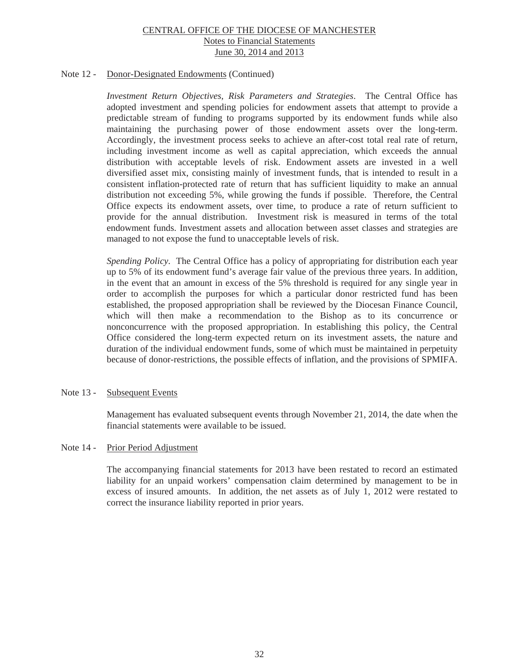### Note 12 - Donor-Designated Endowments (Continued)

*Investment Return Objectives, Risk Parameters and Strategies*. The Central Office has adopted investment and spending policies for endowment assets that attempt to provide a predictable stream of funding to programs supported by its endowment funds while also maintaining the purchasing power of those endowment assets over the long-term. Accordingly, the investment process seeks to achieve an after-cost total real rate of return, including investment income as well as capital appreciation, which exceeds the annual distribution with acceptable levels of risk. Endowment assets are invested in a well diversified asset mix, consisting mainly of investment funds, that is intended to result in a consistent inflation-protected rate of return that has sufficient liquidity to make an annual distribution not exceeding 5%, while growing the funds if possible. Therefore, the Central Office expects its endowment assets, over time, to produce a rate of return sufficient to provide for the annual distribution. Investment risk is measured in terms of the total endowment funds. Investment assets and allocation between asset classes and strategies are managed to not expose the fund to unacceptable levels of risk.

*Spending Policy*. The Central Office has a policy of appropriating for distribution each year up to 5% of its endowment fund's average fair value of the previous three years. In addition, in the event that an amount in excess of the 5% threshold is required for any single year in order to accomplish the purposes for which a particular donor restricted fund has been established, the proposed appropriation shall be reviewed by the Diocesan Finance Council, which will then make a recommendation to the Bishop as to its concurrence or nonconcurrence with the proposed appropriation. In establishing this policy, the Central Office considered the long-term expected return on its investment assets, the nature and duration of the individual endowment funds, some of which must be maintained in perpetuity because of donor-restrictions, the possible effects of inflation, and the provisions of SPMIFA.

### Note 13 - Subsequent Events

 Management has evaluated subsequent events through November 21, 2014, the date when the financial statements were available to be issued.

#### Note 14 - Prior Period Adjustment

The accompanying financial statements for 2013 have been restated to record an estimated liability for an unpaid workers' compensation claim determined by management to be in excess of insured amounts. In addition, the net assets as of July 1, 2012 were restated to correct the insurance liability reported in prior years.